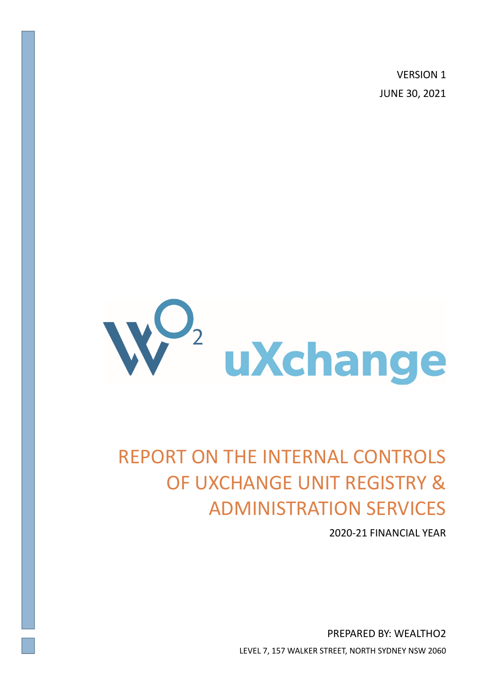VERSION 1 JUNE 30, 2021



# REPORT ON THE INTERNAL CONTROLS OF UXCHANGE UNIT REGISTRY & ADMINISTRATION SERVICES

2020-21 FINANCIAL YEAR

PREPARED BY: WEALTHO2 LEVEL 7, 157 WALKER STREET, NORTH SYDNEY NSW 2060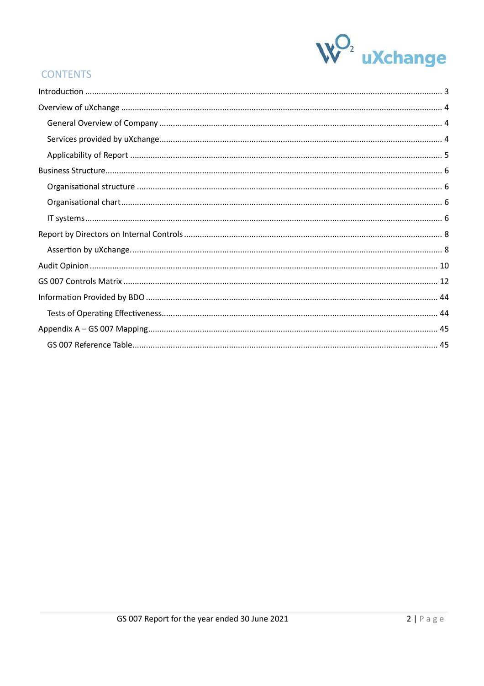

# **CONTENTS**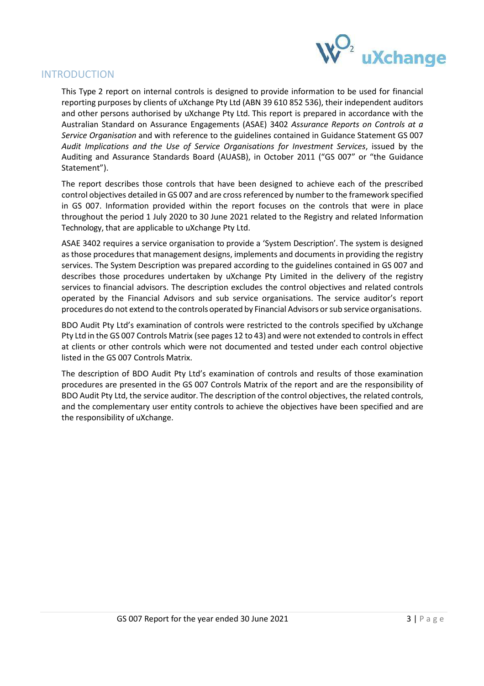

# INTRODUCTION

This Type 2 report on internal controls is designed to provide information to be used for financial reporting purposes by clients of uXchange Pty Ltd (ABN 39 610 852 536), their independent auditors and other persons authorised by uXchange Pty Ltd. This report is prepared in accordance with the Australian Standard on Assurance Engagements (ASAE) 3402 *Assurance Reports on Controls at a Service Organisation* and with reference to the guidelines contained in Guidance Statement GS 007 *Audit Implications and the Use of Service Organisations for Investment Services*, issued by the Auditing and Assurance Standards Board (AUASB), in October 2011 ("GS 007" or "the Guidance Statement").

The report describes those controls that have been designed to achieve each of the prescribed control objectives detailed in GS 007 and are cross referenced by number to the framework specified in GS 007. Information provided within the report focuses on the controls that were in place throughout the period 1 July 2020 to 30 June 2021 related to the Registry and related Information Technology, that are applicable to uXchange Pty Ltd.

ASAE 3402 requires a service organisation to provide a 'System Description'. The system is designed as those procedures that management designs, implements and documents in providing the registry services. The System Description was prepared according to the guidelines contained in GS 007 and describes those procedures undertaken by uXchange Pty Limited in the delivery of the registry services to financial advisors. The description excludes the control objectives and related controls operated by the Financial Advisors and sub service organisations. The service auditor's report procedures do not extend to the controls operated by Financial Advisors or sub service organisations.

BDO Audit Pty Ltd's examination of controls were restricted to the controls specified by uXchange Pty Ltd in the GS 007 Controls Matrix (see pages 12 to 43) and were not extended to controls in effect at clients or other controls which were not documented and tested under each control objective listed in the GS 007 Controls Matrix.

The description of BDO Audit Pty Ltd's examination of controls and results of those examination procedures are presented in the GS 007 Controls Matrix of the report and are the responsibility of BDO Audit Pty Ltd, the service auditor. The description of the control objectives, the related controls, and the complementary user entity controls to achieve the objectives have been specified and are the responsibility of uXchange.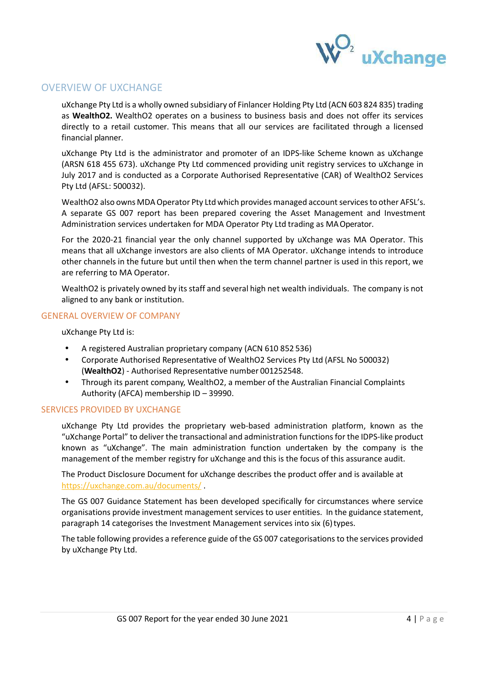

# OVERVIEW OF UXCHANGE

uXchange Pty Ltd is a wholly owned subsidiary of Finlancer Holding Pty Ltd (ACN 603 824 835) trading as **WealthO2.** WealthO2 operates on a business to business basis and does not offer its services directly to a retail customer. This means that all our services are facilitated through a licensed financial planner.

uXchange Pty Ltd is the administrator and promoter of an IDPS-like Scheme known as uXchange (ARSN 618 455 673). uXchange Pty Ltd commenced providing unit registry services to uXchange in July 2017 and is conducted as a Corporate Authorised Representative (CAR) of WealthO2 Services Pty Ltd (AFSL: 500032).

WealthO2 also owns MDA Operator Pty Ltd which provides managed account services to other AFSL's. A separate GS 007 report has been prepared covering the Asset Management and Investment Administration services undertaken for MDA Operator Pty Ltd trading as MA Operator.

For the 2020-21 financial year the only channel supported by uXchange was MA Operator. This means that all uXchange investors are also clients of MA Operator. uXchange intends to introduce other channels in the future but until then when the term channel partner is used in this report, we are referring to MA Operator.

WealthO2 is privately owned by its staff and several high net wealth individuals. The company is not aligned to any bank or institution.

#### GENERAL OVERVIEW OF COMPANY

uXchange Pty Ltd is:

- A registered Australian proprietary company (ACN 610 852 536)
- Corporate Authorised Representative of WealthO2 Services Pty Ltd (AFSL No 500032) (WealthO2) - Authorised Representative number 001252548.
- Through its parent company, WealthO2, a member of the Australian Financial Complaints Authority (AFCA) membership ID – 39990.

#### SERVICES PROVIDED BY UXCHANGE

uXchange Pty Ltd provides the proprietary web-based administration platform, known as the "uXchange Portal" to deliver the transactional and administration functions for the IDPS-like product known as "uXchange". The main administration function undertaken by the company is the management of the member registry for uXchange and this is the focus of this assurance audit.

The Product Disclosure Document for uXchange describes the product offer and is available at https://uxchange.com.au/documents/ .

The GS 007 Guidance Statement has been developed specifically for circumstances where service organisations provide investment management services to user entities. In the guidance statement, paragraph 14 categorises the Investment Management services into six (6) types.

The table following provides a reference guide of the GS 007 categorisations to the services provided by uXchange Pty Ltd.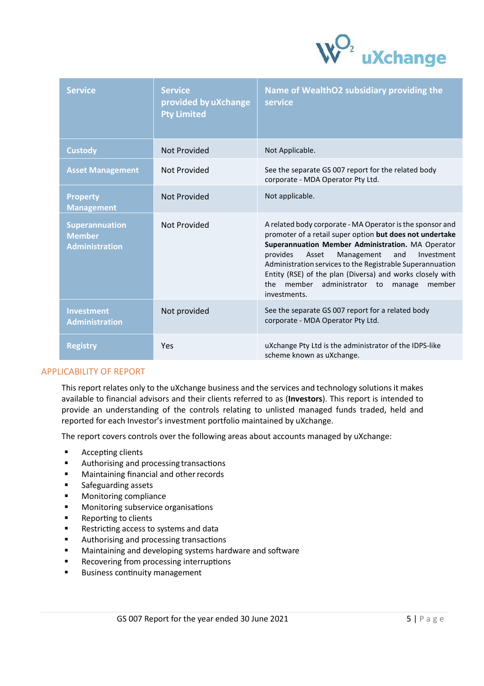

| <b>Service</b>                                                  | <b>Service</b><br>provided by uXchange<br><b>Pty Limited</b> | Name of WealthO2 subsidiary providing the<br>service                                                                                                                                                                                                                                                                                                                                                                                  |
|-----------------------------------------------------------------|--------------------------------------------------------------|---------------------------------------------------------------------------------------------------------------------------------------------------------------------------------------------------------------------------------------------------------------------------------------------------------------------------------------------------------------------------------------------------------------------------------------|
| <b>Custody</b>                                                  | <b>Not Provided</b>                                          | Not Applicable.                                                                                                                                                                                                                                                                                                                                                                                                                       |
| <b>Asset Management</b>                                         | Not Provided                                                 | See the separate GS 007 report for the related body<br>corporate - MDA Operator Pty Ltd.                                                                                                                                                                                                                                                                                                                                              |
| <b>Property</b><br><b>Management</b>                            | <b>Not Provided</b>                                          | Not applicable.                                                                                                                                                                                                                                                                                                                                                                                                                       |
| <b>Superannuation</b><br><b>Member</b><br><b>Administration</b> | <b>Not Provided</b>                                          | A related body corporate - MA Operator is the sponsor and<br>promoter of a retail super option but does not undertake<br>Superannuation Member Administration. MA Operator<br>provides<br>Management<br>and<br>Investment<br>Asset<br>Administration services to the Registrable Superannuation<br>Entity (RSE) of the plan (Diversa) and works closely with<br>member<br>administrator to<br>the<br>member<br>manage<br>investments. |
| <b>Investment</b><br><b>Administration</b>                      | Not provided                                                 | See the separate GS 007 report for a related body<br>corporate - MDA Operator Pty Ltd.                                                                                                                                                                                                                                                                                                                                                |
| <b>Registry</b>                                                 | Yes                                                          | uXchange Pty Ltd is the administrator of the IDPS-like<br>scheme known as uXchange.                                                                                                                                                                                                                                                                                                                                                   |

#### APPLICABILITY OF REPORT

This report relates only to the uXchange business and the services and technology solutions it makes available to financial advisors and their clients referred to as (**Investors**). This report is intended to provide an understanding of the controls relating to unlisted managed funds traded, held and reported for each Investor's investment portfolio maintained by uXchange.

The report covers controls over the following areas about accounts managed by uXchange:

- $\blacksquare$  Accepting clients
- Authorising and processing transactions
- **Maintaining financial and other records**
- **Safeguarding assets**
- **Monitoring compliance**
- **Monitoring subservice organisations**
- **Reporting to clients**
- Restricting access to systems and data
- **Authorising and processing transactions**
- Maintaining and developing systems hardware and software
- Recovering from processing interruptions
- **Business continuity management**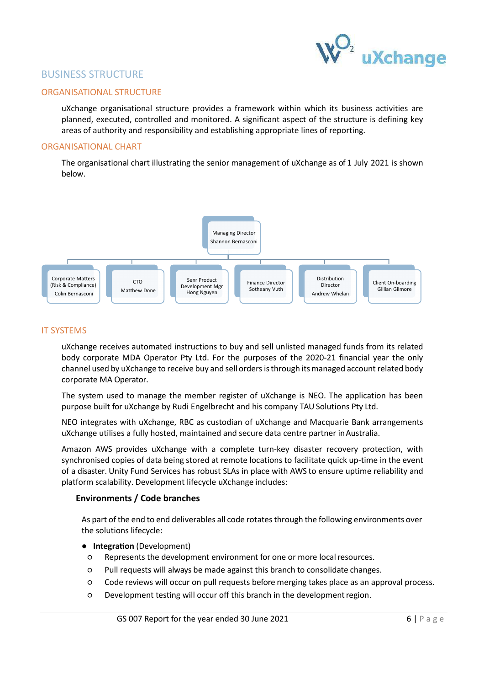

# BUSINESS STRUCTURE

#### ORGANISATIONAL STRUCTURE

uXchange organisational structure provides a framework within which its business activities are planned, executed, controlled and monitored. A significant aspect of the structure is defining key areas of authority and responsibility and establishing appropriate lines of reporting.

#### ORGANISATIONAL CHART

The organisational chart illustrating the senior management of uXchange as of 1 July 2021 is shown below.



#### IT SYSTEMS

uXchange receives automated instructions to buy and sell unlisted managed funds from its related body corporate MDA Operator Pty Ltd. For the purposes of the 2020-21 financial year the only channel used by uXchange to receive buy and sell orders is through its managed account related body corporate MA Operator.

The system used to manage the member register of uXchange is NEO. The application has been purpose built for uXchange by Rudi Engelbrecht and his company TAU Solutions Pty Ltd.

NEO integrates with uXchange, RBC as custodian of uXchange and Macquarie Bank arrangements uXchange utilises a fully hosted, maintained and secure data centre partner in Australia.

Amazon AWS provides uXchange with a complete turn-key disaster recovery protection, with synchronised copies of data being stored at remote locations to facilitate quick up-time in the event of a disaster. Unity Fund Services has robust SLAs in place with AWS to ensure uptime reliability and platform scalability. Development lifecycle uXchange includes:

#### **Environments / Code branches**

As part of the end to end deliverables all code rotates through the following environments over the solutions lifecycle:

- **Integration** (Development)
- Represents the development environment for one or more local resources.
- Pull requests will always be made against this branch to consolidate changes.
- Code reviews will occur on pull requests before merging takes place as an approval process.
- $O$  Development testing will occur off this branch in the development region.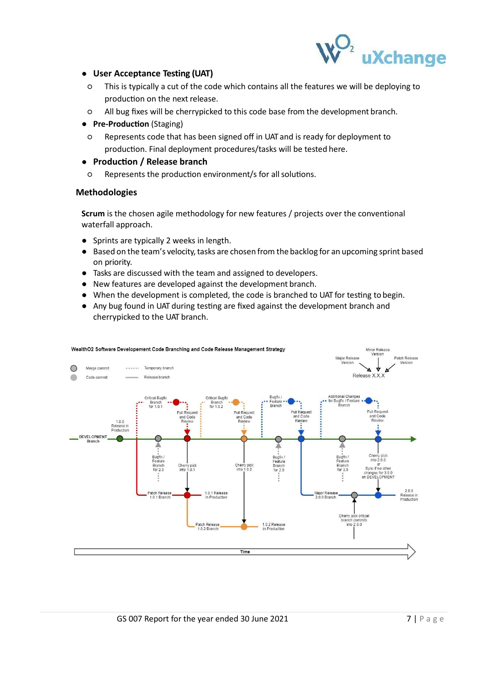

## ● **User Acceptance Testing (UAT)**

- This is typically a cut of the code which contains all the features we will be deploying to production on the next release.
- All bug fixes will be cherrypicked to this code base from the development branch.
- **•** Pre-Production (Staging)
- Represents code that has been signed off in UAT and is ready for deployment to production. Final deployment procedures/tasks will be tested here.

#### ● **Produc'on / Release branch**

○ Represents the produc4on environment/s for all solu4ons.

#### **Methodologies**

**Scrum** is the chosen agile methodology for new features / projects over the conventional waterfall approach.

- Sprints are typically 2 weeks in length.
- Based on the team's velocity, tasks are chosen from the backlog for an upcoming sprint based on priority.
- Tasks are discussed with the team and assigned to developers.
- New features are developed against the development branch.
- When the development is completed, the code is branched to UAT for testing to begin.
- Any bug found in UAT during testing are fixed against the development branch and cherrypicked to the UAT branch.

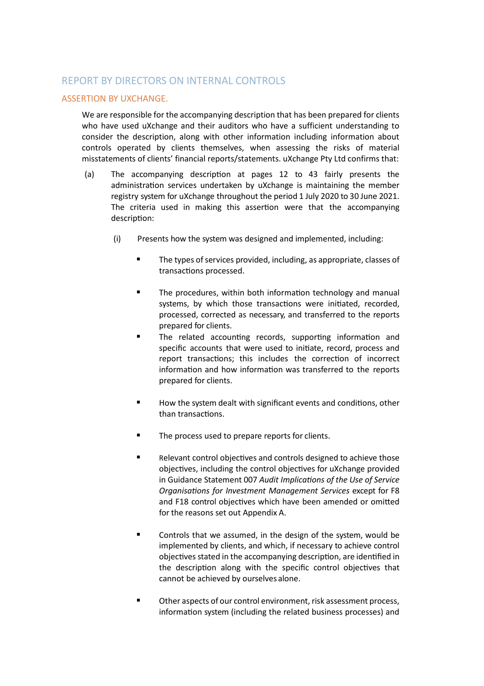# REPORT BY DIRECTORS ON INTERNAL CONTROLS

## ASSERTION BY UXCHANGE.

We are responsible for the accompanying description that has been prepared for clients who have used uXchange and their auditors who have a sufficient understanding to consider the description, along with other information including information about controls operated by clients themselves, when assessing the risks of material misstatements of clients' financial reports/statements. uXchange Pty Ltd confirms that:

- (a) The accompanying description at pages  $12$  to  $43$  fairly presents the administration services undertaken by uXchange is maintaining the member registry system for uXchange throughout the period 1 July 2020 to 30 June 2021. The criteria used in making this assertion were that the accompanying description:
	- (i) Presents how the system was designed and implemented, including:
		- The types of services provided, including, as appropriate, classes of transactions processed.
		- $\blacksquare$  The procedures, within both information technology and manual systems, by which those transactions were initiated, recorded, processed, corrected as necessary, and transferred to the reports prepared for clients.
		- The related accounting records, supporting information and specific accounts that were used to initiate, record, process and report transactions; this includes the correction of incorrect information and how information was transferred to the reports prepared for clients.
		- $\blacksquare$  How the system dealt with significant events and conditions, other than transactions.
		- The process used to prepare reports for clients.
		- Relevant control objectives and controls designed to achieve those objectives, including the control objectives for uXchange provided in Guidance Statement 007 Audit Implications of the Use of Service *Organisations for Investment Management Services except for F8* and F18 control objectives which have been amended or omitted for the reasons set out Appendix A.
		- Controls that we assumed, in the design of the system, would be implemented by clients, and which, if necessary to achieve control objectives stated in the accompanying description, are identified in the description along with the specific control objectives that cannot be achieved by ourselves alone.
		- Other aspects of our control environment, risk assessment process, information system (including the related business processes) and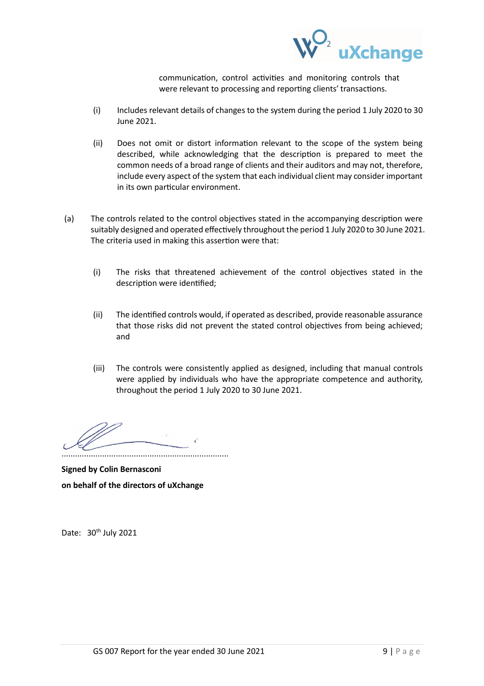

communication, control activities and monitoring controls that were relevant to processing and reporting clients' transactions.

- (i) Includes relevant details of changes to the system during the period 1 July 2020 to 30 June 2021.
- (ii) Does not omit or distort information relevant to the scope of the system being described, while acknowledging that the description is prepared to meet the common needs of a broad range of clients and their auditors and may not, therefore, include every aspect of the system that each individual client may consider important in its own particular environment.
- (a) The controls related to the control objectives stated in the accompanying description were suitably designed and operated effectively throughout the period 1 July 2020 to 30 June 2021. The criteria used in making this assertion were that:
	- (i) The risks that threatened achievement of the control objectives stated in the description were identified:
	- (ii) The identified controls would, if operated as described, provide reasonable assurance that those risks did not prevent the stated control objectives from being achieved; and
	- (iii) The controls were consistently applied as designed, including that manual controls were applied by individuals who have the appropriate competence and authority, throughout the period 1 July 2020 to 30 June 2021.

..........................................................................

**Signed by Colin Bernasconi on behalf of the directors of uXchange** 

Date: 30<sup>th</sup> July 2021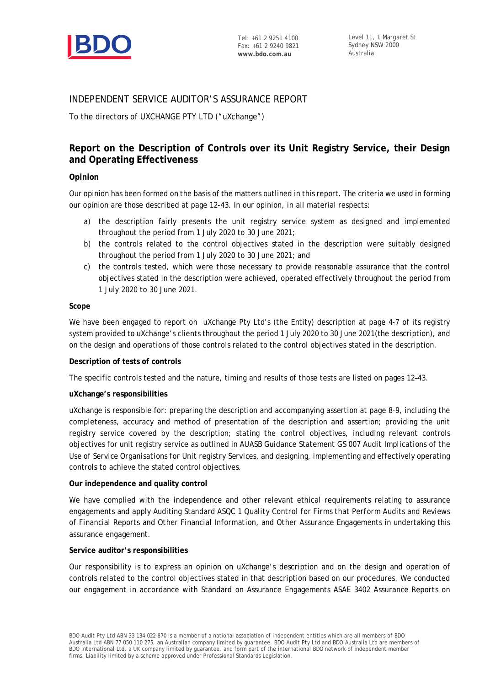

# INDEPENDENT SERVICE AUDITOR'S ASSURANCE REPORT

To the directors of UXCHANGE PTY LTD ("uXchange")

# **Report on the Description of Controls over its Unit Registry Service, their Design and Operating Effectiveness**

#### **Opinion**

Our opinion has been formed on the basis of the matters outlined in this report. The criteria we used in forming our opinion are those described at page 12-43. In our opinion, in all material respects:

- a) the description fairly presents the unit registry service system as designed and implemented throughout the period from 1 July 2020 to 30 June 2021;
- b) the controls related to the control objectives stated in the description were suitably designed throughout the period from 1 July 2020 to 30 June 2021; and
- c) the controls tested, which were those necessary to provide reasonable assurance that the control objectives stated in the description were achieved, operated effectively throughout the period from 1 July 2020 to 30 June 2021.

#### **Scope**

We have been engaged to report on uXchange Pty Ltd's (the Entity) description at page 4-7 of its registry system provided to uXchange's clients throughout the period 1 July 2020 to 30 June 2021(the description), and on the design and operations of those controls related to the control objectives stated in the description.

#### **Description of tests of controls**

The specific controls tested and the nature, timing and results of those tests are listed on pages 12–43.

#### **uXchange's responsibilities**

uXchange is responsible for: preparing the description and accompanying assertion at page 8-9, including the completeness, accuracy and method of presentation of the description and assertion; providing the unit registry service covered by the description; stating the control objectives, including relevant controls objectives for unit registry service as outlined in AUASB Guidance Statement GS 007 *Audit Implications of the Use of Service Organisations for Unit registry Services*, and designing, implementing and effectively operating controls to achieve the stated control objectives.

#### **Our independence and quality control**

We have complied with the independence and other relevant ethical requirements relating to assurance engagements and apply Auditing Standard ASQC 1 *Quality Control for Firms that Perform Audits and Reviews of Financial Reports and Other Financial Information, and Other Assurance Engagements* in undertaking this assurance engagement.

#### **Service auditor's responsibilities**

Our responsibility is to express an opinion on uXchange's description and on the design and operation of controls related to the control objectives stated in that description based on our procedures. We conducted our engagement in accordance with Standard on Assurance Engagements ASAE 3402 *Assurance Reports on*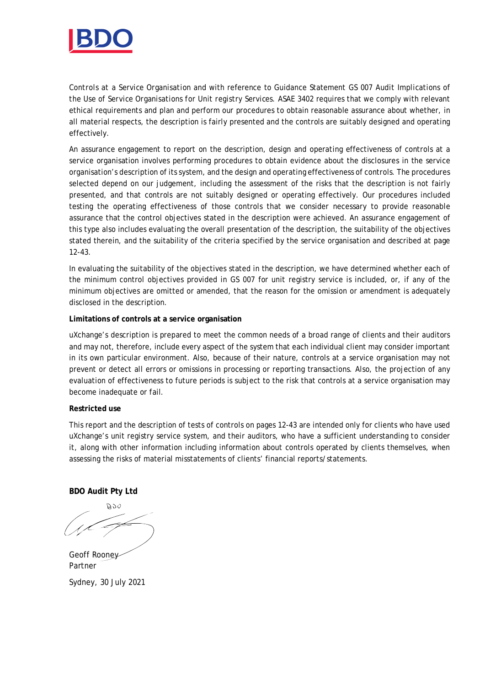

*Controls at a Service Organisation* and with reference to Guidance Statement GS 007 *Audit Implications of the Use of Service Organisations for Unit registry Services*. ASAE 3402 requires that we comply with relevant ethical requirements and plan and perform our procedures to obtain reasonable assurance about whether, in all material respects, the description is fairly presented and the controls are suitably designed and operating effectively.

An assurance engagement to report on the description, design and operating effectiveness of controls at a service organisation involves performing procedures to obtain evidence about the disclosures in the service organisation's description of its system, and the design and operating effectiveness of controls. The procedures selected depend on our judgement, including the assessment of the risks that the description is not fairly presented, and that controls are not suitably designed or operating effectively. Our procedures included testing the operating effectiveness of those controls that we consider necessary to provide reasonable assurance that the control objectives stated in the description were achieved. An assurance engagement of this type also includes evaluating the overall presentation of the description, the suitability of the objectives stated therein, and the suitability of the criteria specified by the service organisation and described at page 12-43.

In evaluating the suitability of the objectives stated in the description, we have determined whether each of the minimum control objectives provided in GS 007 for unit registry service is included, or, if any of the minimum objectives are omitted or amended, that the reason for the omission or amendment is adequately disclosed in the description.

#### **Limitations of controls at a service organisation**

uXchange's description is prepared to meet the common needs of a broad range of clients and their auditors and may not, therefore, include every aspect of the system that each individual client may consider important in its own particular environment. Also, because of their nature, controls at a service organisation may not prevent or detect all errors or omissions in processing or reporting transactions. Also, the projection of any evaluation of effectiveness to future periods is subject to the risk that controls at a service organisation may become inadequate or fail.

#### **Restricted use**

This report and the description of tests of controls on pages 12-43 are intended only for clients who have used uXchange's unit registry service system, and their auditors, who have a sufficient understanding to consider it, along with other information including information about controls operated by clients themselves, when assessing the risks of material misstatements of clients' financial reports/statements.

**BDO Audit Pty Ltd**

DOA

Geoff Rooney Partner Sydney, 30 July 2021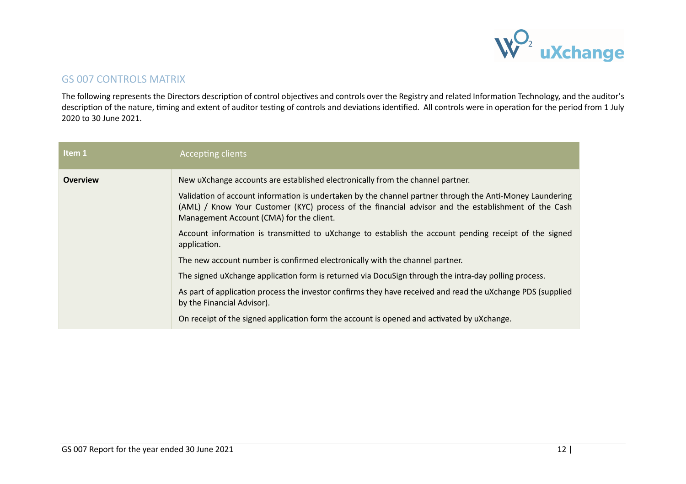

# GS 007 CONTROLS MATRIX

The following represents the Directors description of control objectives and controls over the Registry and related Information Technology, and the auditor's description of the nature, timing and extent of auditor testing of controls and deviations identified. All controls were in operation for the period from 1 July 2020 to 30 June 2021.

| Item 1          | Accepting clients                                                                                                                                                                                                                                           |
|-----------------|-------------------------------------------------------------------------------------------------------------------------------------------------------------------------------------------------------------------------------------------------------------|
| <b>Overview</b> | New uXchange accounts are established electronically from the channel partner.                                                                                                                                                                              |
|                 | Validation of account information is undertaken by the channel partner through the Anti-Money Laundering<br>(AML) / Know Your Customer (KYC) process of the financial advisor and the establishment of the Cash<br>Management Account (CMA) for the client. |
|                 | Account information is transmitted to uXchange to establish the account pending receipt of the signed<br>application.                                                                                                                                       |
|                 | The new account number is confirmed electronically with the channel partner.                                                                                                                                                                                |
|                 | The signed uXchange application form is returned via DocuSign through the intra-day polling process.                                                                                                                                                        |
|                 | As part of application process the investor confirms they have received and read the uXchange PDS (supplied<br>by the Financial Advisor).                                                                                                                   |
|                 | On receipt of the signed application form the account is opened and activated by uXchange.                                                                                                                                                                  |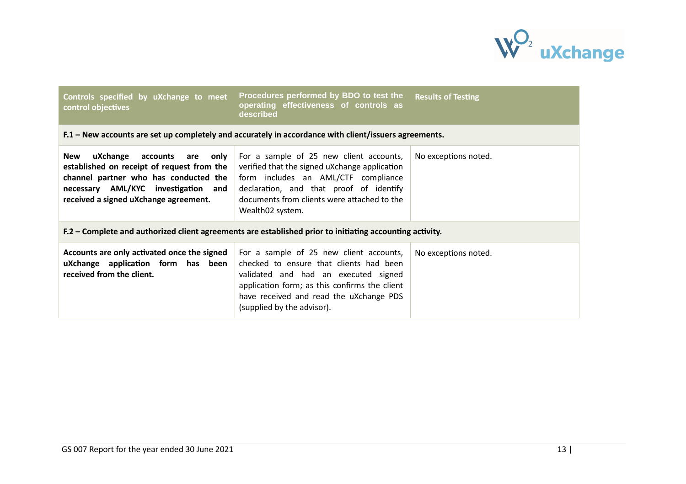

| Controls specified by uXchange to meet<br>control objectives                                                                                                                                                      | Procedures performed by BDO to test the<br>operating effectiveness of controls as<br>described                                                                                                                                                       | <b>Results of Testing</b> |
|-------------------------------------------------------------------------------------------------------------------------------------------------------------------------------------------------------------------|------------------------------------------------------------------------------------------------------------------------------------------------------------------------------------------------------------------------------------------------------|---------------------------|
|                                                                                                                                                                                                                   | F.1 - New accounts are set up completely and accurately in accordance with client/issuers agreements.                                                                                                                                                |                           |
| uXchange<br>accounts<br>New<br>are<br>only<br>established on receipt of request from the<br>channel partner who has conducted the<br>necessary AML/KYC investigation and<br>received a signed uXchange agreement. | For a sample of 25 new client accounts,<br>verified that the signed uXchange application<br>form includes an AML/CTF compliance<br>declaration, and that proof of identify<br>documents from clients were attached to the<br>Wealth02 system.        | No exceptions noted.      |
|                                                                                                                                                                                                                   | F.2 – Complete and authorized client agreements are established prior to initiating accounting activity.                                                                                                                                             |                           |
| Accounts are only activated once the signed<br>uXchange application form has been<br>received from the client.                                                                                                    | For a sample of 25 new client accounts,<br>checked to ensure that clients had been<br>validated and had an executed signed<br>application form; as this confirms the client<br>have received and read the uXchange PDS<br>(supplied by the advisor). | No exceptions noted.      |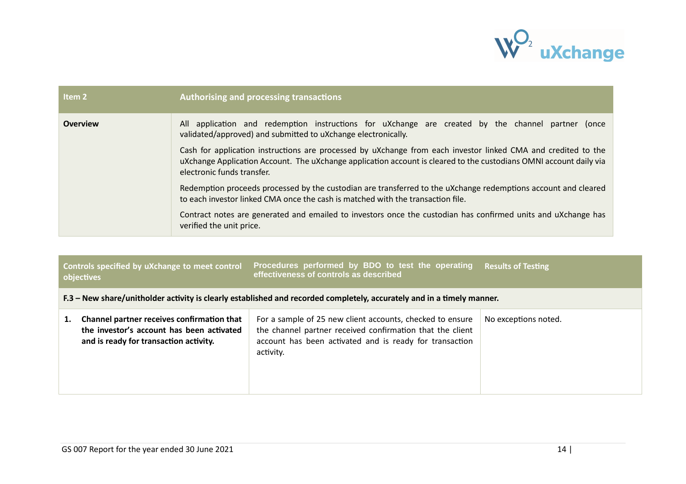

| Item 2          | <b>Authorising and processing transactions</b>                                                                                                                                                                                                                                                                                                                                                                                          |  |
|-----------------|-----------------------------------------------------------------------------------------------------------------------------------------------------------------------------------------------------------------------------------------------------------------------------------------------------------------------------------------------------------------------------------------------------------------------------------------|--|
| <b>Overview</b> | All application and redemption instructions for uXchange are created by the channel partner (once<br>validated/approved) and submitted to uXchange electronically.<br>Cash for application instructions are processed by uXchange from each investor linked CMA and credited to the<br>uXchange Application Account. The uXchange application account is cleared to the custodians OMNI account daily via<br>electronic funds transfer. |  |
|                 | Redemption proceeds processed by the custodian are transferred to the uXchange redemptions account and cleared<br>to each investor linked CMA once the cash is matched with the transaction file.                                                                                                                                                                                                                                       |  |
|                 | Contract notes are generated and emailed to investors once the custodian has confirmed units and uXchange has<br>verified the unit price.                                                                                                                                                                                                                                                                                               |  |

|    | Controls specified by uXchange to meet control<br>objectives                                                                      | Procedures performed by BDO to test the operating<br>effectiveness of controls as described                                                                                                    | <b>Results of Testing</b> |  |
|----|-----------------------------------------------------------------------------------------------------------------------------------|------------------------------------------------------------------------------------------------------------------------------------------------------------------------------------------------|---------------------------|--|
|    | F.3 – New share/unitholder activity is clearly established and recorded completely, accurately and in a timely manner.            |                                                                                                                                                                                                |                           |  |
| 1. | Channel partner receives confirmation that<br>the investor's account has been activated<br>and is ready for transaction activity. | For a sample of 25 new client accounts, checked to ensure<br>the channel partner received confirmation that the client<br>account has been activated and is ready for transaction<br>activity. | No exceptions noted.      |  |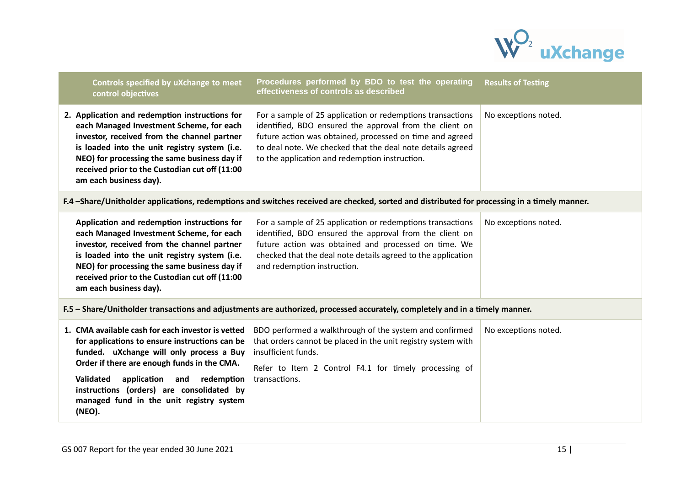

| Controls specified by uXchange to meet<br>control objectives                                                                                                                                                                                                                                                                                           | Procedures performed by BDO to test the operating<br>effectiveness of controls as described                                                                                                                                                                                                       | <b>Results of Testing</b> |
|--------------------------------------------------------------------------------------------------------------------------------------------------------------------------------------------------------------------------------------------------------------------------------------------------------------------------------------------------------|---------------------------------------------------------------------------------------------------------------------------------------------------------------------------------------------------------------------------------------------------------------------------------------------------|---------------------------|
| 2. Application and redemption instructions for<br>each Managed Investment Scheme, for each<br>investor, received from the channel partner<br>is loaded into the unit registry system (i.e.<br>NEO) for processing the same business day if<br>received prior to the Custodian cut off (11:00<br>am each business day).                                 | For a sample of 25 application or redemptions transactions<br>identified, BDO ensured the approval from the client on<br>future action was obtained, processed on time and agreed<br>to deal note. We checked that the deal note details agreed<br>to the application and redemption instruction. | No exceptions noted.      |
|                                                                                                                                                                                                                                                                                                                                                        | F.4 -Share/Unitholder applications, redemptions and switches received are checked, sorted and distributed for processing in a timely manner.                                                                                                                                                      |                           |
| Application and redemption instructions for<br>each Managed Investment Scheme, for each<br>investor, received from the channel partner<br>is loaded into the unit registry system (i.e.<br>NEO) for processing the same business day if<br>received prior to the Custodian cut off (11:00<br>am each business day).                                    | For a sample of 25 application or redemptions transactions<br>identified, BDO ensured the approval from the client on<br>future action was obtained and processed on time. We<br>checked that the deal note details agreed to the application<br>and redemption instruction.                      | No exceptions noted.      |
|                                                                                                                                                                                                                                                                                                                                                        | F.5 - Share/Unitholder transactions and adjustments are authorized, processed accurately, completely and in a timely manner.                                                                                                                                                                      |                           |
| 1. CMA available cash for each investor is vetted<br>for applications to ensure instructions can be<br>funded. uXchange will only process a Buy<br>Order if there are enough funds in the CMA.<br><b>Validated</b><br>application and<br>redemption<br>instructions (orders) are consolidated by<br>managed fund in the unit registry system<br>(NEO). | BDO performed a walkthrough of the system and confirmed<br>that orders cannot be placed in the unit registry system with<br>insufficient funds.<br>Refer to Item 2 Control F4.1 for timely processing of<br>transactions.                                                                         | No exceptions noted.      |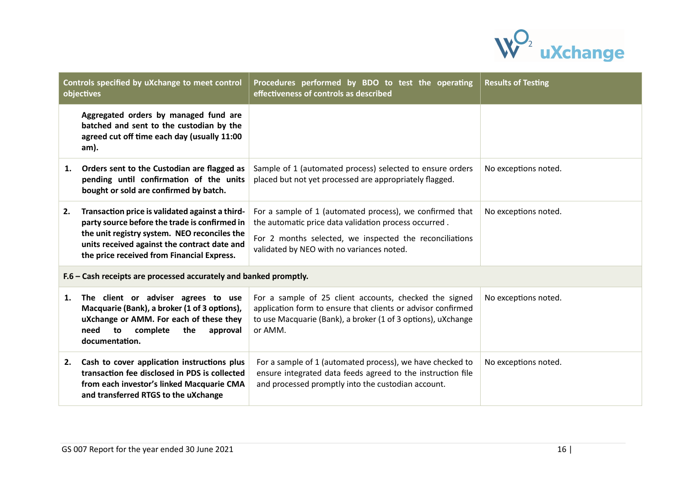

| Controls specified by uXchange to meet control<br>objectives      |                                                                                                                                                                                                                                                | Procedures performed by BDO to test the operating<br>effectiveness of controls as described                                                                                                                               | <b>Results of Testing</b> |
|-------------------------------------------------------------------|------------------------------------------------------------------------------------------------------------------------------------------------------------------------------------------------------------------------------------------------|---------------------------------------------------------------------------------------------------------------------------------------------------------------------------------------------------------------------------|---------------------------|
|                                                                   | Aggregated orders by managed fund are<br>batched and sent to the custodian by the<br>agreed cut off time each day (usually 11:00<br>am).                                                                                                       |                                                                                                                                                                                                                           |                           |
| 1.                                                                | Orders sent to the Custodian are flagged as<br>pending until confirmation of the units<br>bought or sold are confirmed by batch.                                                                                                               | Sample of 1 (automated process) selected to ensure orders<br>placed but not yet processed are appropriately flagged.                                                                                                      | No exceptions noted.      |
| 2.                                                                | Transaction price is validated against a third-<br>party source before the trade is confirmed in<br>the unit registry system. NEO reconciles the<br>units received against the contract date and<br>the price received from Financial Express. | For a sample of 1 (automated process), we confirmed that<br>the automatic price data validation process occurred.<br>For 2 months selected, we inspected the reconciliations<br>validated by NEO with no variances noted. | No exceptions noted.      |
| F.6 - Cash receipts are processed accurately and banked promptly. |                                                                                                                                                                                                                                                |                                                                                                                                                                                                                           |                           |
| 1.                                                                | The client or adviser agrees to use<br>Macquarie (Bank), a broker (1 of 3 options),<br>uXchange or AMM. For each of these they<br>to<br>need<br>complete<br>the<br>approval<br>documentation.                                                  | For a sample of 25 client accounts, checked the signed<br>application form to ensure that clients or advisor confirmed<br>to use Macquarie (Bank), a broker (1 of 3 options), uXchange<br>or AMM.                         | No exceptions noted.      |
| 2.                                                                | Cash to cover application instructions plus<br>transaction fee disclosed in PDS is collected<br>from each investor's linked Macquarie CMA<br>and transferred RTGS to the uXchange                                                              | For a sample of 1 (automated process), we have checked to<br>ensure integrated data feeds agreed to the instruction file<br>and processed promptly into the custodian account.                                            | No exceptions noted.      |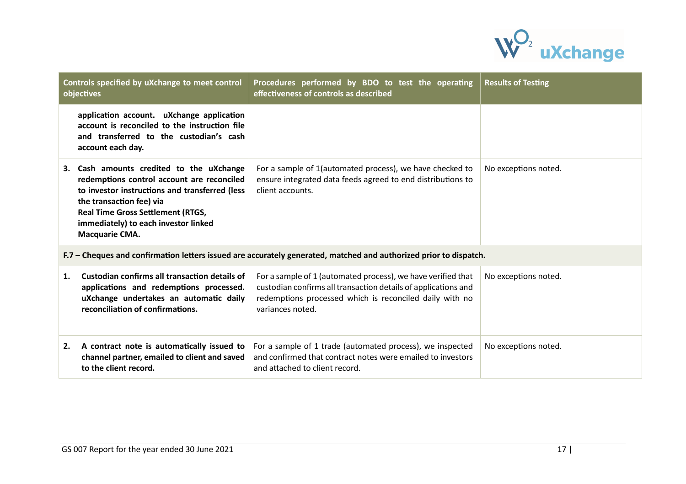

|    | Controls specified by uXchange to meet control<br>objectives                                                                                                                                                                                                               | Procedures performed by BDO to test the operating<br>effectiveness of controls as described                                                                                                                   | <b>Results of Testing</b> |  |
|----|----------------------------------------------------------------------------------------------------------------------------------------------------------------------------------------------------------------------------------------------------------------------------|---------------------------------------------------------------------------------------------------------------------------------------------------------------------------------------------------------------|---------------------------|--|
|    | application account. uXchange application<br>account is reconciled to the instruction file<br>and transferred to the custodian's cash<br>account each day.                                                                                                                 |                                                                                                                                                                                                               |                           |  |
|    | 3. Cash amounts credited to the uXchange<br>redemptions control account are reconciled<br>to investor instructions and transferred (less<br>the transaction fee) via<br><b>Real Time Gross Settlement (RTGS,</b><br>immediately) to each investor linked<br>Macquarie CMA. | For a sample of 1(automated process), we have checked to<br>ensure integrated data feeds agreed to end distributions to<br>client accounts.                                                                   | No exceptions noted.      |  |
|    | F.7 – Cheques and confirmation letters issued are accurately generated, matched and authorized prior to dispatch.                                                                                                                                                          |                                                                                                                                                                                                               |                           |  |
| 1. | Custodian confirms all transaction details of<br>applications and redemptions processed.<br>uXchange undertakes an automatic daily<br>reconciliation of confirmations.                                                                                                     | For a sample of 1 (automated process), we have verified that<br>custodian confirms all transaction details of applications and<br>redemptions processed which is reconciled daily with no<br>variances noted. | No exceptions noted.      |  |
| 2. | A contract note is automatically issued to<br>channel partner, emailed to client and saved<br>to the client record.                                                                                                                                                        | For a sample of 1 trade (automated process), we inspected<br>and confirmed that contract notes were emailed to investors<br>and attached to client record.                                                    | No exceptions noted.      |  |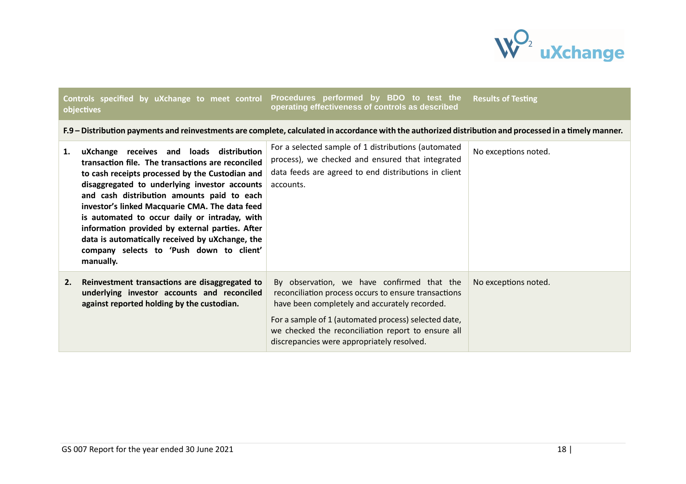

#### **Controls specified by uXchange to meet control objectives Procedures performed by BDO to test the operating effectiveness of controls as describedResults of Testing**

#### F.9 – Distribution payments and reinvestments are complete, calculated in accordance with the authorized distribution and processed in a timely manner.

| 1. | uXchange receives and loads distribution<br>transaction file. The transactions are reconciled<br>to cash receipts processed by the Custodian and<br>disaggregated to underlying investor accounts<br>and cash distribution amounts paid to each<br>investor's linked Macquarie CMA. The data feed<br>is automated to occur daily or intraday, with<br>information provided by external parties. After<br>data is automatically received by uXchange, the<br>company selects to 'Push down to client'<br>manually. | For a selected sample of 1 distributions (automated<br>process), we checked and ensured that integrated<br>data feeds are agreed to end distributions in client<br>accounts.                                                                                                                                    | No exceptions noted. |
|----|-------------------------------------------------------------------------------------------------------------------------------------------------------------------------------------------------------------------------------------------------------------------------------------------------------------------------------------------------------------------------------------------------------------------------------------------------------------------------------------------------------------------|-----------------------------------------------------------------------------------------------------------------------------------------------------------------------------------------------------------------------------------------------------------------------------------------------------------------|----------------------|
| 2. | Reinvestment transactions are disaggregated to<br>underlying investor accounts and reconciled<br>against reported holding by the custodian.                                                                                                                                                                                                                                                                                                                                                                       | By observation, we have confirmed that the<br>reconciliation process occurs to ensure transactions<br>have been completely and accurately recorded.<br>For a sample of 1 (automated process) selected date,<br>we checked the reconciliation report to ensure all<br>discrepancies were appropriately resolved. | No exceptions noted. |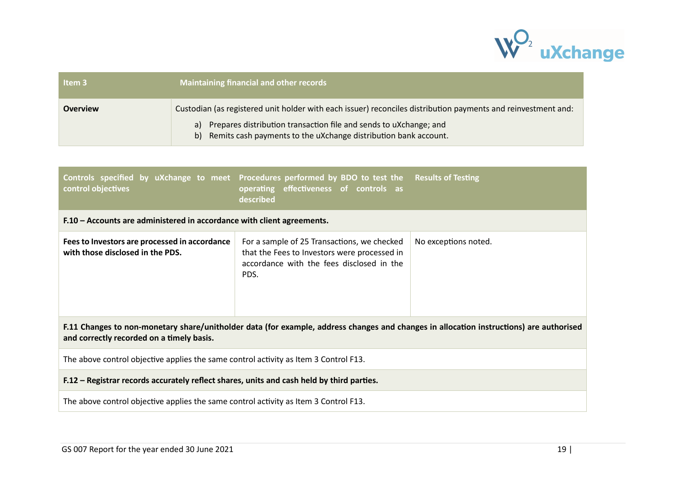

| Item <sub>3</sub> | <b>Maintaining financial and other records</b>                                                                |  |
|-------------------|---------------------------------------------------------------------------------------------------------------|--|
| <b>Overview</b>   | Custodian (as registered unit holder with each issuer) reconciles distribution payments and reinvestment and: |  |
|                   | a) Prepares distribution transaction file and sends to uXchange; and                                          |  |
|                   | b) Remits cash payments to the uXchange distribution bank account.                                            |  |

| control objectives                                                                                                                                                                   | Controls specified by uXchange to meet Procedures performed by BDO to test the Results of Testing<br>effectiveness of controls as<br>operating<br>described |                      |  |
|--------------------------------------------------------------------------------------------------------------------------------------------------------------------------------------|-------------------------------------------------------------------------------------------------------------------------------------------------------------|----------------------|--|
| F.10 - Accounts are administered in accordance with client agreements.                                                                                                               |                                                                                                                                                             |                      |  |
| Fees to Investors are processed in accordance<br>with those disclosed in the PDS.                                                                                                    | For a sample of 25 Transactions, we checked<br>that the Fees to Investors were processed in<br>accordance with the fees disclosed in the<br>PDS.            | No exceptions noted. |  |
| F.11 Changes to non-monetary share/unitholder data (for example, address changes and changes in allocation instructions) are authorised<br>and correctly recorded on a timely basis. |                                                                                                                                                             |                      |  |
| The above control objective applies the same control activity as Item 3 Control F13.                                                                                                 |                                                                                                                                                             |                      |  |
| F.12 – Registrar records accurately reflect shares, units and cash held by third parties.                                                                                            |                                                                                                                                                             |                      |  |
| The above control objective applies the same control activity as Item 3 Control F13.                                                                                                 |                                                                                                                                                             |                      |  |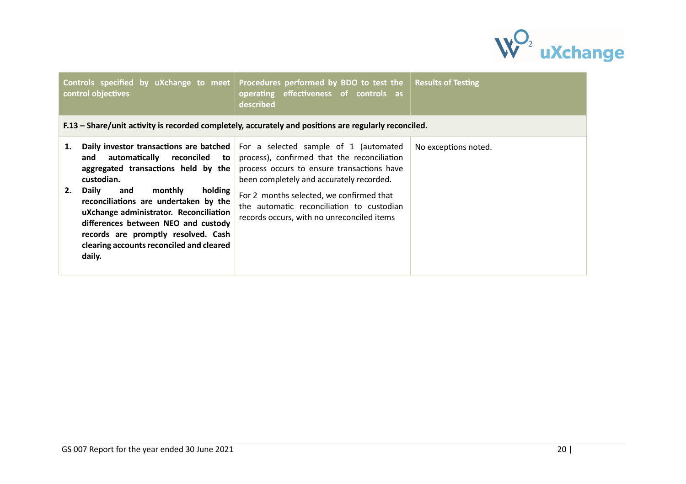

| control objectives                                                                                                                                                                                                                                                                                                                                                                                               | Controls specified by uXchange to meet Procedures performed by BDO to test the<br>operating effectiveness of controls as<br>described                                                                                                                                                                                 | <b>Results of Testing</b> |
|------------------------------------------------------------------------------------------------------------------------------------------------------------------------------------------------------------------------------------------------------------------------------------------------------------------------------------------------------------------------------------------------------------------|-----------------------------------------------------------------------------------------------------------------------------------------------------------------------------------------------------------------------------------------------------------------------------------------------------------------------|---------------------------|
|                                                                                                                                                                                                                                                                                                                                                                                                                  | F.13 – Share/unit activity is recorded completely, accurately and positions are regularly reconciled.                                                                                                                                                                                                                 |                           |
| Daily investor transactions are batched<br>1.<br>automatically reconciled<br>to  <br>and<br>aggregated transactions held by the<br>custodian.<br>holding<br>2.<br>Daily<br>monthly<br>and<br>reconciliations are undertaken by the<br>uXchange administrator. Reconciliation<br>differences between NEO and custody<br>records are promptly resolved. Cash<br>clearing accounts reconciled and cleared<br>daily. | For a selected sample of 1 (automated<br>process), confirmed that the reconciliation<br>process occurs to ensure transactions have<br>been completely and accurately recorded.<br>For 2 months selected, we confirmed that<br>the automatic reconciliation to custodian<br>records occurs, with no unreconciled items | No exceptions noted.      |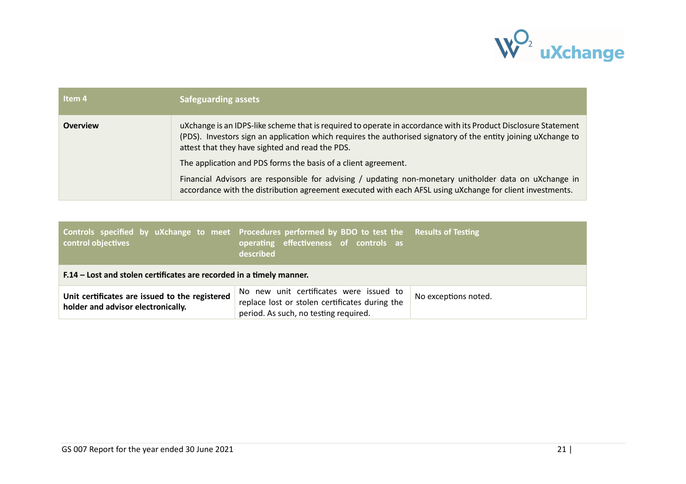

| Item 4          | <b>Safeguarding assets</b>                                                                                                                                                                                                                                                           |
|-----------------|--------------------------------------------------------------------------------------------------------------------------------------------------------------------------------------------------------------------------------------------------------------------------------------|
| <b>Overview</b> | uXchange is an IDPS-like scheme that is required to operate in accordance with its Product Disclosure Statement<br>(PDS). Investors sign an application which requires the authorised signatory of the entity joining uXchange to<br>attest that they have sighted and read the PDS. |
|                 | The application and PDS forms the basis of a client agreement.                                                                                                                                                                                                                       |
|                 | Financial Advisors are responsible for advising / updating non-monetary unitholder data on uXchange in<br>accordance with the distribution agreement executed with each AFSL using uXchange for client investments.                                                                  |

| control objectives                                                                   | Controls specified by uXchange to meet Procedures performed by BDO to test the Results of Testing<br>operating effectiveness of controls as<br>described |                      |  |
|--------------------------------------------------------------------------------------|----------------------------------------------------------------------------------------------------------------------------------------------------------|----------------------|--|
| F.14 – Lost and stolen certificates are recorded in a timely manner.                 |                                                                                                                                                          |                      |  |
| Unit certificates are issued to the registered<br>holder and advisor electronically. | No new unit certificates were issued to<br>replace lost or stolen certificates during the<br>period. As such, no testing required.                       | No exceptions noted. |  |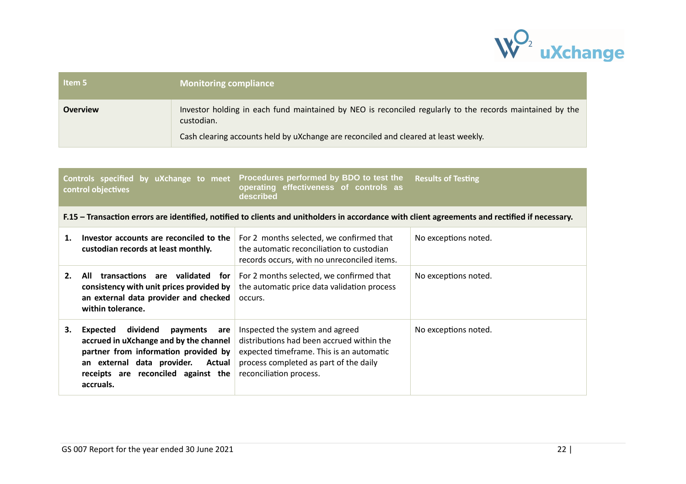

| Item 5          | <b>Monitoring compliance</b>                                                                                           |
|-----------------|------------------------------------------------------------------------------------------------------------------------|
| <b>Overview</b> | Investor holding in each fund maintained by NEO is reconciled regularly to the records maintained by the<br>custodian. |
|                 | Cash clearing accounts held by uXchange are reconciled and cleared at least weekly.                                    |

|    | Controls specified by uXchange to meet<br>control objectives                                                                                                                                                          | Procedures performed by BDO to test the<br>effectiveness of controls as<br>operating<br>described                                                                                             | <b>Results of Testing</b> |
|----|-----------------------------------------------------------------------------------------------------------------------------------------------------------------------------------------------------------------------|-----------------------------------------------------------------------------------------------------------------------------------------------------------------------------------------------|---------------------------|
|    |                                                                                                                                                                                                                       | F.15 – Transaction errors are identified, notified to clients and unitholders in accordance with client agreements and rectified if necessary.                                                |                           |
| 1. | Investor accounts are reconciled to the<br>custodian records at least monthly.                                                                                                                                        | For 2 months selected, we confirmed that<br>the automatic reconciliation to custodian<br>records occurs, with no unreconciled items.                                                          | No exceptions noted.      |
| 2. | All transactions are validated for<br>consistency with unit prices provided by<br>an external data provider and checked<br>within tolerance.                                                                          | For 2 months selected, we confirmed that<br>the automatic price data validation process<br>occurs.                                                                                            | No exceptions noted.      |
| З. | dividend<br>Expected<br>payments<br>are<br>accrued in uXchange and by the channel<br>partner from information provided by<br>an external data provider.<br>Actual<br>receipts are reconciled against the<br>accruals. | Inspected the system and agreed<br>distributions had been accrued within the<br>expected timeframe. This is an automatic<br>process completed as part of the daily<br>reconciliation process. | No exceptions noted.      |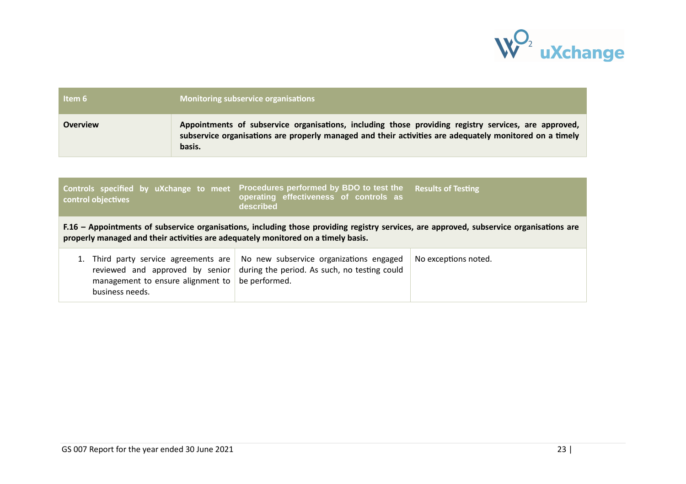

| Item 6                                                                                                                                                                                                                        | <b>Monitoring subservice organisations</b>                                                                                                                                                                                |                                                                                                                                                  |                      |
|-------------------------------------------------------------------------------------------------------------------------------------------------------------------------------------------------------------------------------|---------------------------------------------------------------------------------------------------------------------------------------------------------------------------------------------------------------------------|--------------------------------------------------------------------------------------------------------------------------------------------------|----------------------|
| <b>Overview</b>                                                                                                                                                                                                               | Appointments of subservice organisations, including those providing registry services, are approved,<br>subservice organisations are properly managed and their activities are adequately monitored on a timely<br>basis. |                                                                                                                                                  |                      |
|                                                                                                                                                                                                                               |                                                                                                                                                                                                                           |                                                                                                                                                  |                      |
| Controls specified by uXchange to meet Procedures performed by BDO to test the<br><b>Results of Testing</b><br>operating effectiveness of controls as<br>control objectives<br>described                                      |                                                                                                                                                                                                                           |                                                                                                                                                  |                      |
| F.16 – Appointments of subservice organisations, including those providing registry services, are approved, subservice organisations are<br>properly managed and their activities are adequately monitored on a timely basis. |                                                                                                                                                                                                                           |                                                                                                                                                  |                      |
| 1. Third party service agreements are<br>management to ensure alignment to<br>business needs.                                                                                                                                 |                                                                                                                                                                                                                           | No new subservice organizations engaged<br>reviewed and approved by senior $\vert$ during the period. As such, no testing could<br>be performed. | No exceptions noted. |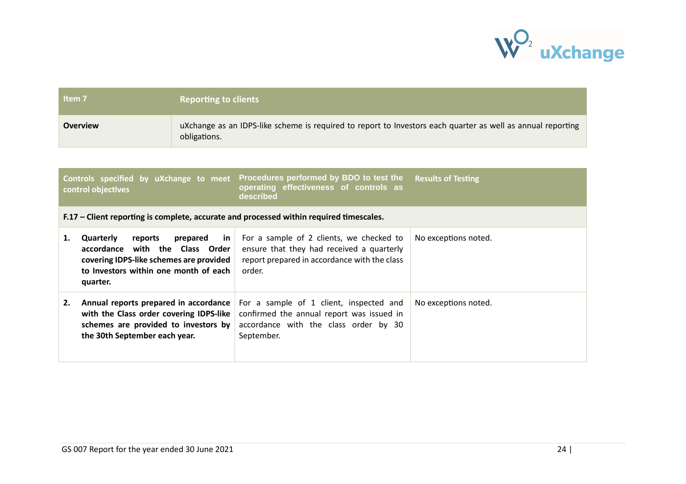

a sa kacamatan ing Kabupatèn Kabupatèn Kabupatèn Kabupatèn Kabupatèn Kabupatèn Kabupatèn Kabupatèn Kabupatèn K

| Item <sub>7</sub>                                                                                                                                                                           | <b>Reporting to clients</b> |                                                                                                                                                 |                      |
|---------------------------------------------------------------------------------------------------------------------------------------------------------------------------------------------|-----------------------------|-------------------------------------------------------------------------------------------------------------------------------------------------|----------------------|
| <b>Overview</b>                                                                                                                                                                             | obligations.                | uXchange as an IDPS-like scheme is required to report to Investors each quarter as well as annual reporting                                     |                      |
|                                                                                                                                                                                             |                             |                                                                                                                                                 |                      |
| Procedures performed by BDO to test the<br>Controls specified by uXchange to meet<br><b>Results of Testing</b><br>operating effectiveness of controls as<br>control objectives<br>described |                             |                                                                                                                                                 |                      |
|                                                                                                                                                                                             |                             | F.17 – Client reporting is complete, accurate and processed within required timescales.                                                         |                      |
| Quarterly<br>reports<br>1.<br>accordance with the Class Order<br>covering IDPS-like schemes are provided<br>to Investors within one month of each<br>quarter.                               | prepared<br>in              | For a sample of 2 clients, we checked to<br>ensure that they had received a quarterly<br>report prepared in accordance with the class<br>order. | No exceptions noted. |
| Annual reports prepared in accordance<br>2.<br>with the Class order covering IDPS-like<br>schemes are provided to investors by<br>the 30th September each year.                             |                             | For a sample of 1 client, inspected and<br>confirmed the annual report was issued in<br>accordance with the class order by 30<br>September.     | No exceptions noted. |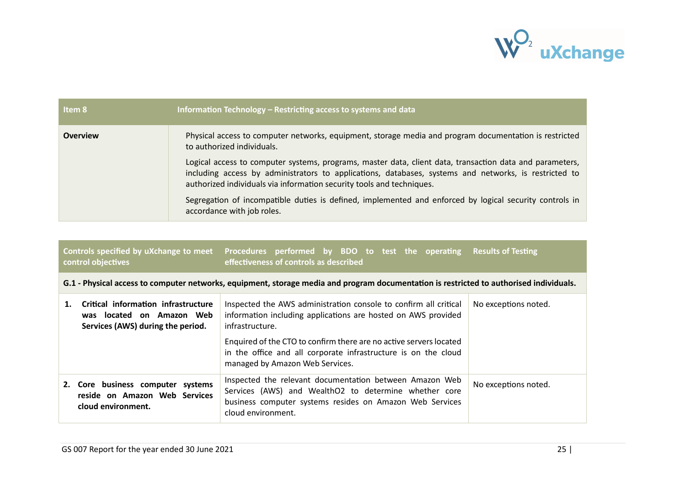

| Item 8          | Information Technology - Restricting access to systems and data                                                                                                                                                                                                                            |
|-----------------|--------------------------------------------------------------------------------------------------------------------------------------------------------------------------------------------------------------------------------------------------------------------------------------------|
| <b>Overview</b> | Physical access to computer networks, equipment, storage media and program documentation is restricted<br>to authorized individuals.                                                                                                                                                       |
|                 | Logical access to computer systems, programs, master data, client data, transaction data and parameters,<br>including access by administrators to applications, databases, systems and networks, is restricted to<br>authorized individuals via information security tools and techniques. |
|                 | Segregation of incompatible duties is defined, implemented and enforced by logical security controls in<br>accordance with job roles.                                                                                                                                                      |

| Controls specified by uXchange to meet<br>control objectives                                          | Procedures performed by BDO to test the operating Results of Testing<br>effectiveness of controls as described                                                                                     |                      |
|-------------------------------------------------------------------------------------------------------|----------------------------------------------------------------------------------------------------------------------------------------------------------------------------------------------------|----------------------|
|                                                                                                       | G.1 - Physical access to computer networks, equipment, storage media and program documentation is restricted to authorised individuals.                                                            |                      |
| Critical information infrastructure<br>was located on Amazon Web<br>Services (AWS) during the period. | Inspected the AWS administration console to confirm all critical<br>information including applications are hosted on AWS provided<br>infrastructure.                                               | No exceptions noted. |
|                                                                                                       | Enquired of the CTO to confirm there are no active servers located<br>in the office and all corporate infrastructure is on the cloud<br>managed by Amazon Web Services.                            |                      |
| 2. Core business computer systems<br>reside on Amazon Web Services<br>cloud environment.              | Inspected the relevant documentation between Amazon Web<br>Services (AWS) and WealthO2 to determine whether core<br>business computer systems resides on Amazon Web Services<br>cloud environment. | No exceptions noted. |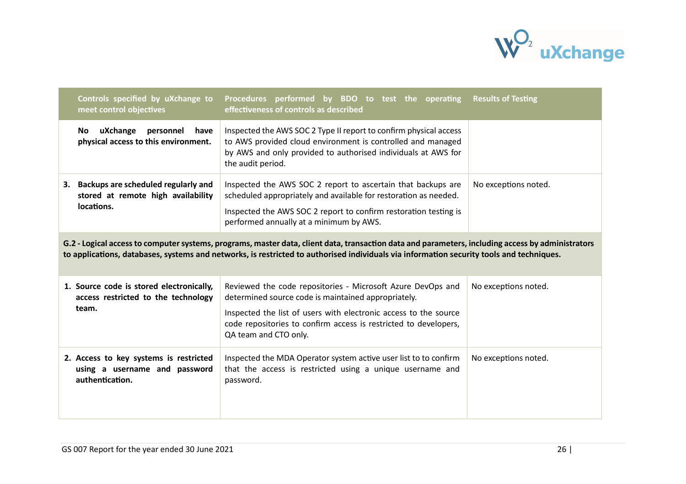

|    | Controls specified by uXchange to<br>meet control objectives                               | Procedures performed by BDO to test the operating Results of Testing<br>effectiveness of controls as described                                                                                                                                                                                |                      |
|----|--------------------------------------------------------------------------------------------|-----------------------------------------------------------------------------------------------------------------------------------------------------------------------------------------------------------------------------------------------------------------------------------------------|----------------------|
|    | uXchange<br>personnel<br>have<br>No.<br>physical access to this environment.               | Inspected the AWS SOC 2 Type II report to confirm physical access<br>to AWS provided cloud environment is controlled and managed<br>by AWS and only provided to authorised individuals at AWS for<br>the audit period.                                                                        |                      |
| 3. | Backups are scheduled regularly and<br>stored at remote high availability<br>locations.    | Inspected the AWS SOC 2 report to ascertain that backups are<br>scheduled appropriately and available for restoration as needed.<br>Inspected the AWS SOC 2 report to confirm restoration testing is<br>performed annually at a minimum by AWS.                                               | No exceptions noted. |
|    |                                                                                            | G.2 - Logical access to computer systems, programs, master data, client data, transaction data and parameters, including access by administrators<br>to applications, databases, systems and networks, is restricted to authorised individuals via information security tools and techniques. |                      |
|    | 1. Source code is stored electronically,<br>access restricted to the technology<br>team.   | Reviewed the code repositories - Microsoft Azure DevOps and<br>determined source code is maintained appropriately.<br>Inspected the list of users with electronic access to the source<br>code repositories to confirm access is restricted to developers,<br>QA team and CTO only.           | No exceptions noted. |
|    | 2. Access to key systems is restricted<br>using a username and password<br>authentication. | Inspected the MDA Operator system active user list to to confirm<br>that the access is restricted using a unique username and<br>password.                                                                                                                                                    | No exceptions noted. |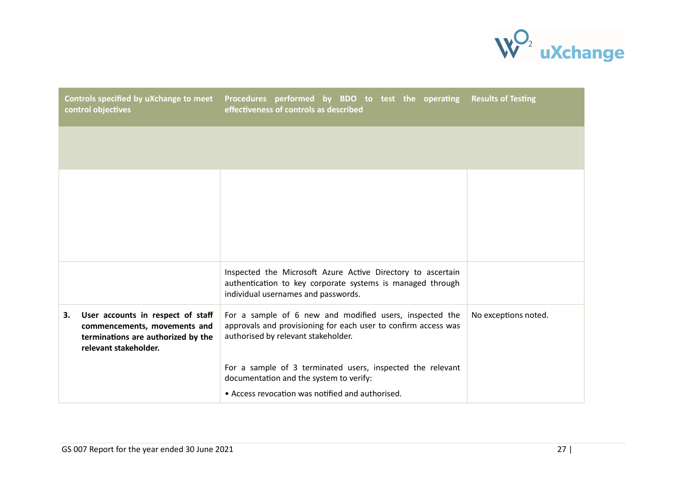

| Controls specified by uXchange to meet<br>control objectives                                                                           | Procedures performed by BDO to test the operating Results of Testing<br>effectiveness of controls as described                                                   |                      |
|----------------------------------------------------------------------------------------------------------------------------------------|------------------------------------------------------------------------------------------------------------------------------------------------------------------|----------------------|
|                                                                                                                                        |                                                                                                                                                                  |                      |
|                                                                                                                                        |                                                                                                                                                                  |                      |
|                                                                                                                                        | Inspected the Microsoft Azure Active Directory to ascertain<br>authentication to key corporate systems is managed through<br>individual usernames and passwords. |                      |
| User accounts in respect of staff<br>3.<br>commencements, movements and<br>terminations are authorized by the<br>relevant stakeholder. | For a sample of 6 new and modified users, inspected the<br>approvals and provisioning for each user to confirm access was<br>authorised by relevant stakeholder. | No exceptions noted. |
|                                                                                                                                        | For a sample of 3 terminated users, inspected the relevant<br>documentation and the system to verify:                                                            |                      |
|                                                                                                                                        | • Access revocation was notified and authorised.                                                                                                                 |                      |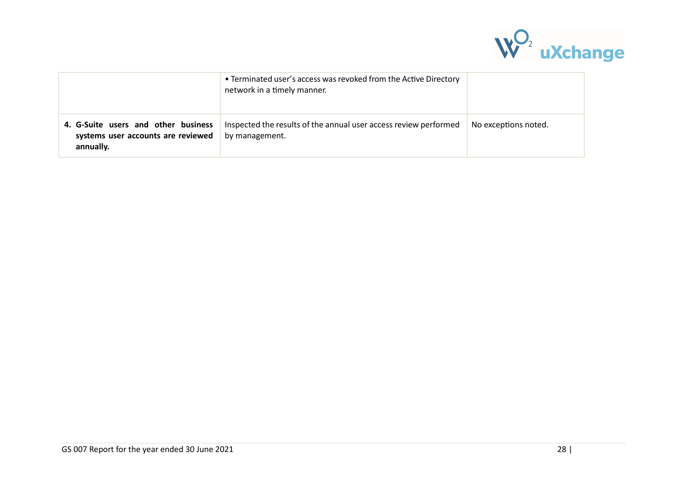

|                                                                                        | • Terminated user's access was revoked from the Active Directory<br>network in a timely manner. |                      |
|----------------------------------------------------------------------------------------|-------------------------------------------------------------------------------------------------|----------------------|
| 4. G-Suite users and other business<br>systems user accounts are reviewed<br>annually. | Inspected the results of the annual user access review performed<br>by management.              | No exceptions noted. |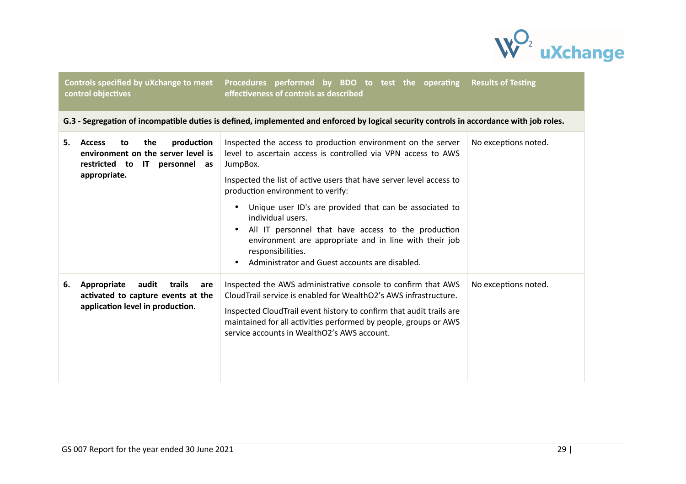

Controls specified by uXchange to meet Procedures performed by BDO to test the operating **control objectives** effectiveness of controls as described **Results of Testing** 

G.3 - Segregation of incompatible duties is defined, implemented and enforced by logical security controls in accordance with job roles.

| production<br>the<br>5.<br><b>Access</b><br>to<br>environment on the server level is<br>restricted to IT personnel as<br>appropriate. | Inspected the access to production environment on the server<br>level to ascertain access is controlled via VPN access to AWS<br>JumpBox.<br>Inspected the list of active users that have server level access to<br>production environment to verify:<br>Unique user ID's are provided that can be associated to<br>individual users.<br>All IT personnel that have access to the production<br>environment are appropriate and in line with their job<br>responsibilities.<br>Administrator and Guest accounts are disabled. | No exceptions noted. |
|---------------------------------------------------------------------------------------------------------------------------------------|-------------------------------------------------------------------------------------------------------------------------------------------------------------------------------------------------------------------------------------------------------------------------------------------------------------------------------------------------------------------------------------------------------------------------------------------------------------------------------------------------------------------------------|----------------------|
| Appropriate<br>audit<br>trails<br>6.<br>are<br>activated to capture events at the<br>application level in production.                 | Inspected the AWS administrative console to confirm that AWS<br>Cloud Trail service is enabled for WealthO2's AWS infrastructure.<br>Inspected CloudTrail event history to confirm that audit trails are<br>maintained for all activities performed by people, groups or AWS<br>service accounts in WealthO2's AWS account.                                                                                                                                                                                                   | No exceptions noted. |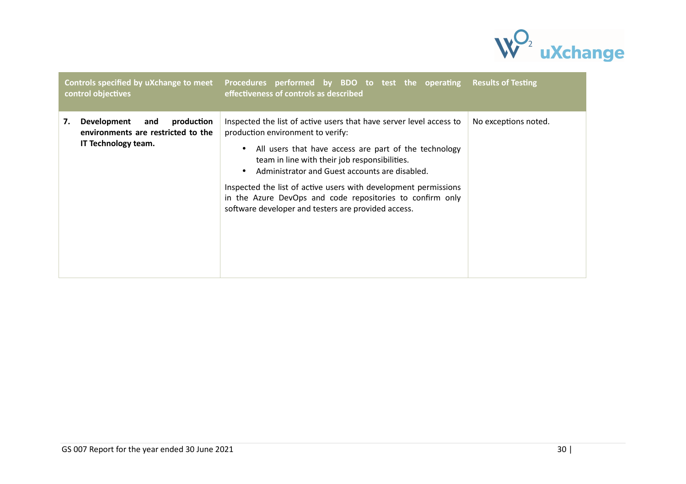

| control objectives                                                                                  | Controls specified by uXchange to meet Procedures performed by BDO to test the operating Results of Testing<br>effectiveness of controls as described                                                                                                                                                                                                                                                                                                       |                      |
|-----------------------------------------------------------------------------------------------------|-------------------------------------------------------------------------------------------------------------------------------------------------------------------------------------------------------------------------------------------------------------------------------------------------------------------------------------------------------------------------------------------------------------------------------------------------------------|----------------------|
| Development<br>and<br>production<br>7.<br>environments are restricted to the<br>IT Technology team. | Inspected the list of active users that have server level access to<br>production environment to verify:<br>All users that have access are part of the technology<br>team in line with their job responsibilities.<br>Administrator and Guest accounts are disabled.<br>Inspected the list of active users with development permissions<br>in the Azure DevOps and code repositories to confirm only<br>software developer and testers are provided access. | No exceptions noted. |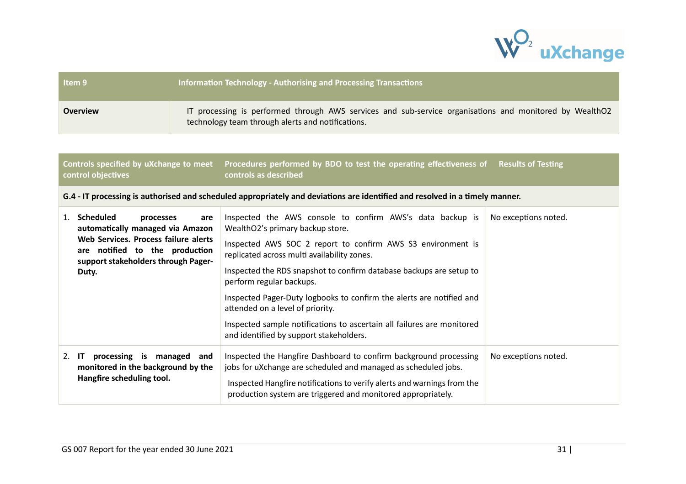

| Item 9          | Information Technology - Authorising and Processing Transactions                                                                                             |
|-----------------|--------------------------------------------------------------------------------------------------------------------------------------------------------------|
| <b>Overview</b> | IT processing is performed through AWS services and sub-service organisations and monitored by WealthO2<br>technology team through alerts and notifications. |

| Controls specified by uXchange to meet<br>control objectives |                                                                                                                                                                                                    | Procedures performed by BDO to test the operating effectiveness of<br>controls as described                                                                                                                                                                                                                                                                                                                                                                                                                                                     | <b>Results of Testing</b> |
|--------------------------------------------------------------|----------------------------------------------------------------------------------------------------------------------------------------------------------------------------------------------------|-------------------------------------------------------------------------------------------------------------------------------------------------------------------------------------------------------------------------------------------------------------------------------------------------------------------------------------------------------------------------------------------------------------------------------------------------------------------------------------------------------------------------------------------------|---------------------------|
|                                                              |                                                                                                                                                                                                    | G.4 - IT processing is authorised and scheduled appropriately and deviations are identified and resolved in a timely manner.                                                                                                                                                                                                                                                                                                                                                                                                                    |                           |
| 1.                                                           | <b>Scheduled</b><br>processes<br>are<br>automatically managed via Amazon<br>Web Services. Process failure alerts<br>are notified to the production<br>support stakeholders through Pager-<br>Duty. | Inspected the AWS console to confirm AWS's data backup is<br>WealthO2's primary backup store.<br>Inspected AWS SOC 2 report to confirm AWS S3 environment is<br>replicated across multi availability zones.<br>Inspected the RDS snapshot to confirm database backups are setup to<br>perform regular backups.<br>Inspected Pager-Duty logbooks to confirm the alerts are notified and<br>attended on a level of priority.<br>Inspected sample notifications to ascertain all failures are monitored<br>and identified by support stakeholders. | No exceptions noted.      |
| $2.$ IT                                                      | processing is managed and<br>monitored in the background by the<br>Hangfire scheduling tool.                                                                                                       | Inspected the Hangfire Dashboard to confirm background processing<br>jobs for uXchange are scheduled and managed as scheduled jobs.<br>Inspected Hangfire notifications to verify alerts and warnings from the<br>production system are triggered and monitored appropriately.                                                                                                                                                                                                                                                                  | No exceptions noted.      |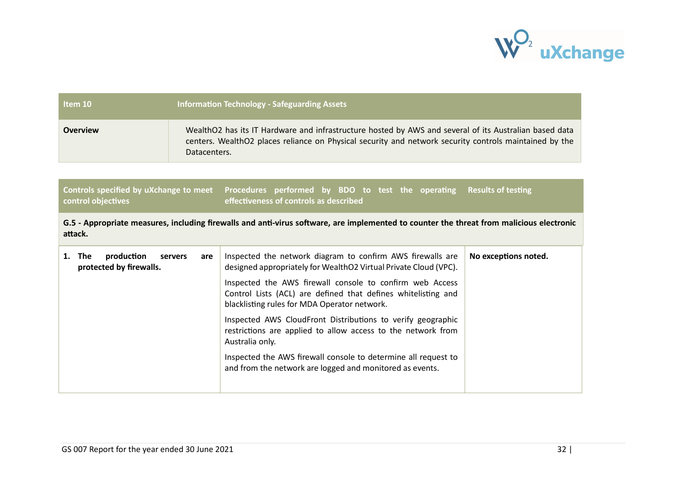

| Item 10         | <b>Information Technology - Safeguarding Assets</b>                                                                                                                                                                              |
|-----------------|----------------------------------------------------------------------------------------------------------------------------------------------------------------------------------------------------------------------------------|
| <b>Overview</b> | WealthO2 has its IT Hardware and infrastructure hosted by AWS and several of its Australian based data<br>centers. WealthO2 places reliance on Physical security and network security controls maintained by the<br>Datacenters. |

| Controls specified by uXchange to meet Procedures performed by BDO to test the operating Results of testing |                                        |  |  |  |  |
|-------------------------------------------------------------------------------------------------------------|----------------------------------------|--|--|--|--|
| control objectives                                                                                          | effectiveness of controls as described |  |  |  |  |

G.5 - Appropriate measures, including firewalls and anti-virus software, are implemented to counter the threat from malicious electronic attack.

| production<br>The l<br>servers<br>are<br>protected by firewalls. |  | Inspected the network diagram to confirm AWS firewalls are<br>designed appropriately for WealthO2 Virtual Private Cloud (VPC).                                            | No exceptions noted. |
|------------------------------------------------------------------|--|---------------------------------------------------------------------------------------------------------------------------------------------------------------------------|----------------------|
|                                                                  |  | Inspected the AWS firewall console to confirm web Access<br>Control Lists (ACL) are defined that defines whitelisting and<br>blacklisting rules for MDA Operator network. |                      |
|                                                                  |  | Inspected AWS CloudFront Distributions to verify geographic<br>restrictions are applied to allow access to the network from<br>Australia only.                            |                      |
|                                                                  |  | Inspected the AWS firewall console to determine all request to<br>and from the network are logged and monitored as events.                                                |                      |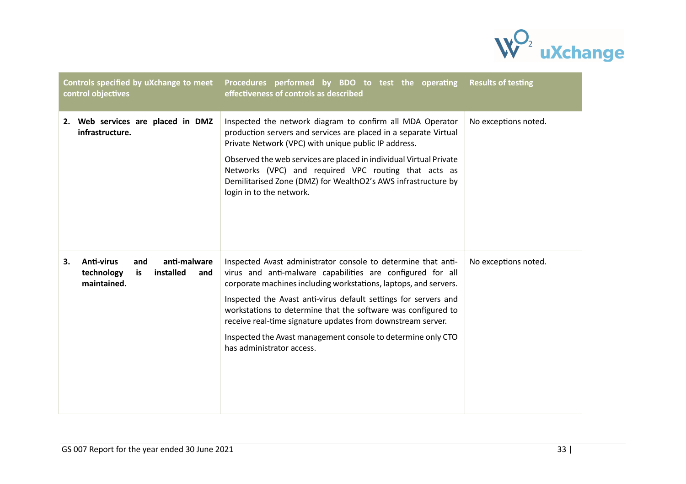

| Controls specified by uXchange to meet<br>control objectives                                   | Procedures performed by BDO to test the operating<br>effectiveness of controls as described                                                                                                                                                                                                                                                                                                                                                                                                     | <b>Results of testing</b> |
|------------------------------------------------------------------------------------------------|-------------------------------------------------------------------------------------------------------------------------------------------------------------------------------------------------------------------------------------------------------------------------------------------------------------------------------------------------------------------------------------------------------------------------------------------------------------------------------------------------|---------------------------|
| 2. Web services are placed in DMZ<br>infrastructure.                                           | Inspected the network diagram to confirm all MDA Operator<br>production servers and services are placed in a separate Virtual<br>Private Network (VPC) with unique public IP address.<br>Observed the web services are placed in individual Virtual Private<br>Networks (VPC) and required VPC routing that acts as<br>Demilitarised Zone (DMZ) for WealthO2's AWS infrastructure by<br>login in to the network.                                                                                | No exceptions noted.      |
| anti-malware<br>Anti-virus<br>and<br>3.<br>installed<br>technology<br>is<br>and<br>maintained. | Inspected Avast administrator console to determine that anti-<br>virus and anti-malware capabilities are configured for all<br>corporate machines including workstations, laptops, and servers.<br>Inspected the Avast anti-virus default settings for servers and<br>workstations to determine that the software was configured to<br>receive real-time signature updates from downstream server.<br>Inspected the Avast management console to determine only CTO<br>has administrator access. | No exceptions noted.      |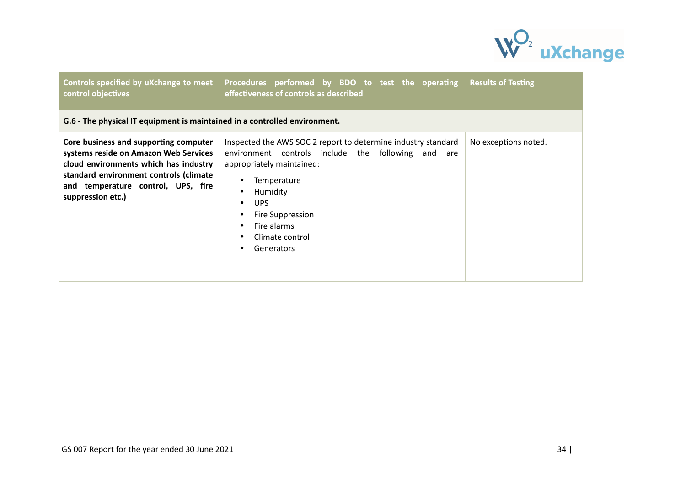

| control objectives                                                                                                                                                                                                           | Controls specified by uXchange to meet Procedures performed by BDO to test the operating Results of Testing<br>effectiveness of controls as described                                                                                                                                    |                      |
|------------------------------------------------------------------------------------------------------------------------------------------------------------------------------------------------------------------------------|------------------------------------------------------------------------------------------------------------------------------------------------------------------------------------------------------------------------------------------------------------------------------------------|----------------------|
| G.6 - The physical IT equipment is maintained in a controlled environment.                                                                                                                                                   |                                                                                                                                                                                                                                                                                          |                      |
| Core business and supporting computer<br>systems reside on Amazon Web Services<br>cloud environments which has industry<br>standard environment controls (climate<br>and temperature control, UPS, fire<br>suppression etc.) | Inspected the AWS SOC 2 report to determine industry standard<br>environment controls include the following and are<br>appropriately maintained:<br>Temperature<br>Humidity<br>$\bullet$<br>UPS.<br>$\bullet$<br>Fire Suppression<br>Fire alarms<br>Climate control<br><b>Generators</b> | No exceptions noted. |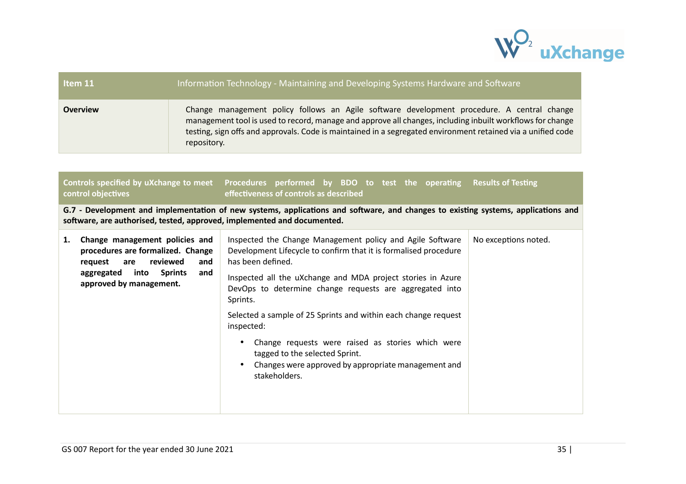

| Item 11                                                                                                                                                                                                      | Information Technology - Maintaining and Developing Systems Hardware and Software |                                                                                                                                                                                                                                                                                                                                                                                                                                                                                                                                                      |                           |  |  |  |
|--------------------------------------------------------------------------------------------------------------------------------------------------------------------------------------------------------------|-----------------------------------------------------------------------------------|------------------------------------------------------------------------------------------------------------------------------------------------------------------------------------------------------------------------------------------------------------------------------------------------------------------------------------------------------------------------------------------------------------------------------------------------------------------------------------------------------------------------------------------------------|---------------------------|--|--|--|
| <b>Overview</b>                                                                                                                                                                                              |                                                                                   | Change management policy follows an Agile software development procedure. A central change<br>management tool is used to record, manage and approve all changes, including inbuilt workflows for change<br>testing, sign offs and approvals. Code is maintained in a segregated environment retained via a unified code<br>repository.                                                                                                                                                                                                               |                           |  |  |  |
| Controls specified by uXchange to meet<br>control objectives                                                                                                                                                 |                                                                                   | Procedures performed by BDO to test the operating<br>effectiveness of controls as described                                                                                                                                                                                                                                                                                                                                                                                                                                                          | <b>Results of Testing</b> |  |  |  |
| G.7 - Development and implementation of new systems, applications and software, and changes to existing systems, applications and<br>software, are authorised, tested, approved, implemented and documented. |                                                                                   |                                                                                                                                                                                                                                                                                                                                                                                                                                                                                                                                                      |                           |  |  |  |
| Change management policies and<br>1.<br>procedures are formalized. Change<br>reviewed<br>are<br>request<br>into<br>aggregated<br>approved by management.                                                     | and<br><b>Sprints</b><br>and                                                      | Inspected the Change Management policy and Agile Software<br>Development Lifecycle to confirm that it is formalised procedure<br>has been defined.<br>Inspected all the uXchange and MDA project stories in Azure<br>DevOps to determine change requests are aggregated into<br>Sprints.<br>Selected a sample of 25 Sprints and within each change request<br>inspected:<br>Change requests were raised as stories which were<br>$\bullet$<br>tagged to the selected Sprint.<br>Changes were approved by appropriate management and<br>stakeholders. | No exceptions noted.      |  |  |  |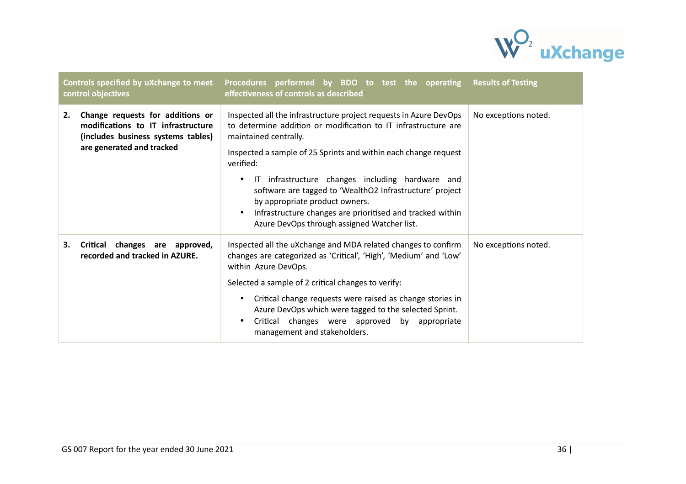

| Controls specified by uXchange to meet<br>control objectives |                                                                                                                                           | Procedures performed by BDO to test the operating Results of Testing<br>effectiveness of controls as described                                                                                                                                                                                                                                                                                                                                                                                             |                      |
|--------------------------------------------------------------|-------------------------------------------------------------------------------------------------------------------------------------------|------------------------------------------------------------------------------------------------------------------------------------------------------------------------------------------------------------------------------------------------------------------------------------------------------------------------------------------------------------------------------------------------------------------------------------------------------------------------------------------------------------|----------------------|
| 2.                                                           | Change requests for additions or<br>modifications to IT infrastructure<br>(includes business systems tables)<br>are generated and tracked | Inspected all the infrastructure project requests in Azure DevOps<br>to determine addition or modification to IT infrastructure are<br>maintained centrally.<br>Inspected a sample of 25 Sprints and within each change request<br>verified:<br>IT infrastructure changes including hardware and<br>software are tagged to 'WealthO2 Infrastructure' project<br>by appropriate product owners.<br>Infrastructure changes are prioritised and tracked within<br>Azure DevOps through assigned Watcher list. | No exceptions noted. |
| 3.                                                           | Critical changes are approved,<br>recorded and tracked in AZURE.                                                                          | Inspected all the uXchange and MDA related changes to confirm<br>changes are categorized as 'Critical', 'High', 'Medium' and 'Low'<br>within Azure DevOps.<br>Selected a sample of 2 critical changes to verify:<br>Critical change requests were raised as change stories in<br>Azure DevOps which were tagged to the selected Sprint.<br>Critical changes were approved by appropriate<br>management and stakeholders.                                                                                   | No exceptions noted. |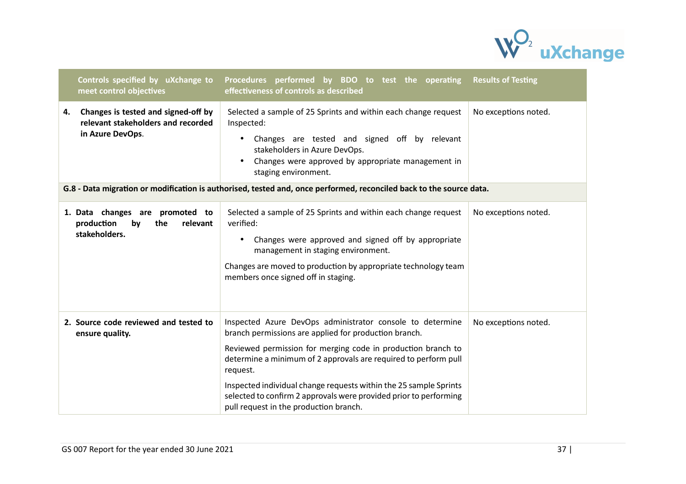

|    | Controls specified by uXchange to<br>meet control objectives                                  | Procedures performed by BDO to test the operating Results of Testing<br>effectiveness of controls as described                                                                                                                                                                                                                         |                      |
|----|-----------------------------------------------------------------------------------------------|----------------------------------------------------------------------------------------------------------------------------------------------------------------------------------------------------------------------------------------------------------------------------------------------------------------------------------------|----------------------|
| 4. | Changes is tested and signed-off by<br>relevant stakeholders and recorded<br>in Azure DevOps. | Selected a sample of 25 Sprints and within each change request<br>Inspected:<br>Changes are tested and signed off by relevant<br>stakeholders in Azure DevOps.<br>Changes were approved by appropriate management in<br>staging environment.                                                                                           | No exceptions noted. |
|    |                                                                                               | G.8 - Data migration or modification is authorised, tested and, once performed, reconciled back to the source data.                                                                                                                                                                                                                    |                      |
|    | 1. Data changes are promoted to<br>production<br>the<br>by<br>relevant<br>stakeholders.       | Selected a sample of 25 Sprints and within each change request<br>verified:<br>Changes were approved and signed off by appropriate<br>management in staging environment.<br>Changes are moved to production by appropriate technology team<br>members once signed off in staging.                                                      | No exceptions noted. |
|    | 2. Source code reviewed and tested to<br>ensure quality.                                      | Inspected Azure DevOps administrator console to determine<br>branch permissions are applied for production branch.<br>Reviewed permission for merging code in production branch to<br>determine a minimum of 2 approvals are required to perform pull<br>request.<br>Inspected individual change requests within the 25 sample Sprints | No exceptions noted. |
|    |                                                                                               | selected to confirm 2 approvals were provided prior to performing<br>pull request in the production branch.                                                                                                                                                                                                                            |                      |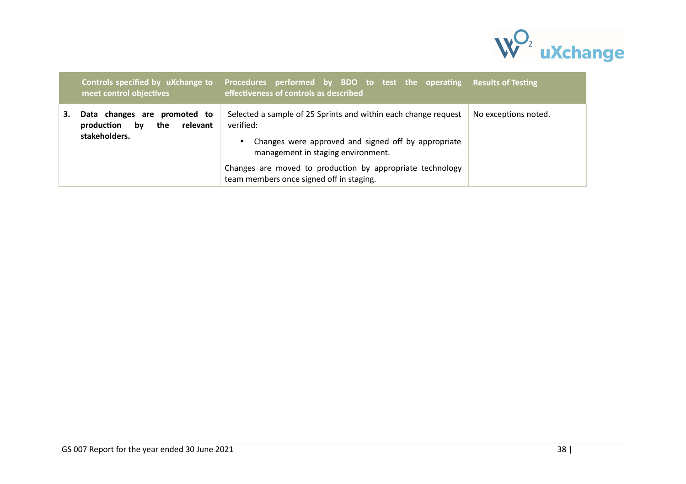

|    | Controls specified by uXchange to<br>meet control objectives                         | Procedures performed by BDO to test the operating Results of Testing<br>effectiveness of controls as described                                                                                                                                                                    |                      |
|----|--------------------------------------------------------------------------------------|-----------------------------------------------------------------------------------------------------------------------------------------------------------------------------------------------------------------------------------------------------------------------------------|----------------------|
| З. | Data changes are promoted to<br>production<br>relevant<br>by<br>the<br>stakeholders. | Selected a sample of 25 Sprints and within each change request<br>verified:<br>Changes were approved and signed off by appropriate<br>management in staging environment.<br>Changes are moved to production by appropriate technology<br>team members once signed off in staging. | No exceptions noted. |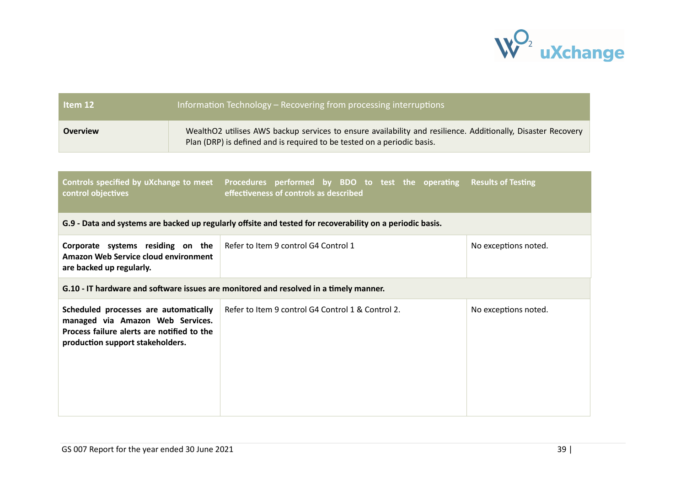

| Information Technology - Recovering from processing interruptions<br>Item 12                                                                                |                                                                                       |                                                                                                                                                                                         |                           |  |  |
|-------------------------------------------------------------------------------------------------------------------------------------------------------------|---------------------------------------------------------------------------------------|-----------------------------------------------------------------------------------------------------------------------------------------------------------------------------------------|---------------------------|--|--|
| <b>Overview</b>                                                                                                                                             |                                                                                       | WealthO2 utilises AWS backup services to ensure availability and resilience. Additionally, Disaster Recovery<br>Plan (DRP) is defined and is required to be tested on a periodic basis. |                           |  |  |
|                                                                                                                                                             |                                                                                       |                                                                                                                                                                                         |                           |  |  |
| Controls specified by uXchange to meet<br>control objectives                                                                                                |                                                                                       | Procedures performed by BDO to test the operating<br>effectiveness of controls as described                                                                                             | <b>Results of Testing</b> |  |  |
|                                                                                                                                                             |                                                                                       | G.9 - Data and systems are backed up regularly offsite and tested for recoverability on a periodic basis.                                                                               |                           |  |  |
| Corporate systems residing on the<br>Amazon Web Service cloud environment<br>are backed up regularly.                                                       |                                                                                       | Refer to Item 9 control G4 Control 1                                                                                                                                                    | No exceptions noted.      |  |  |
|                                                                                                                                                             | G.10 - IT hardware and software issues are monitored and resolved in a timely manner. |                                                                                                                                                                                         |                           |  |  |
| Scheduled processes are automatically<br>managed via Amazon Web Services.<br>Process failure alerts are notified to the<br>production support stakeholders. |                                                                                       | Refer to Item 9 control G4 Control 1 & Control 2.                                                                                                                                       | No exceptions noted.      |  |  |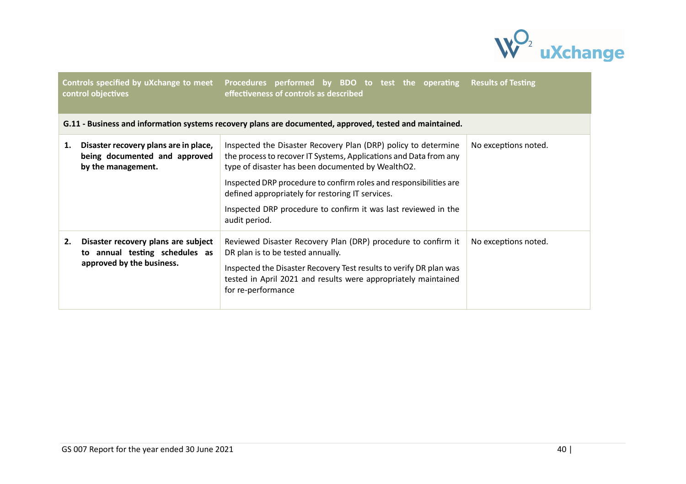

|    | Controls specified by uXchange to meet<br>control objectives                                       | Procedures performed by BDO to test the operating<br>effectiveness of controls as described                                                                                                                                                                                                                                                                                                          | <b>Results of Testing</b> |
|----|----------------------------------------------------------------------------------------------------|------------------------------------------------------------------------------------------------------------------------------------------------------------------------------------------------------------------------------------------------------------------------------------------------------------------------------------------------------------------------------------------------------|---------------------------|
|    |                                                                                                    | G.11 - Business and information systems recovery plans are documented, approved, tested and maintained.                                                                                                                                                                                                                                                                                              |                           |
| 1. | Disaster recovery plans are in place,<br>being documented and approved<br>by the management.       | Inspected the Disaster Recovery Plan (DRP) policy to determine<br>the process to recover IT Systems, Applications and Data from any<br>type of disaster has been documented by WealthO2.<br>Inspected DRP procedure to confirm roles and responsibilities are<br>defined appropriately for restoring IT services.<br>Inspected DRP procedure to confirm it was last reviewed in the<br>audit period. | No exceptions noted.      |
| 2. | Disaster recovery plans are subject<br>to annual testing schedules as<br>approved by the business. | Reviewed Disaster Recovery Plan (DRP) procedure to confirm it<br>DR plan is to be tested annually.<br>Inspected the Disaster Recovery Test results to verify DR plan was<br>tested in April 2021 and results were appropriately maintained<br>for re-performance                                                                                                                                     | No exceptions noted.      |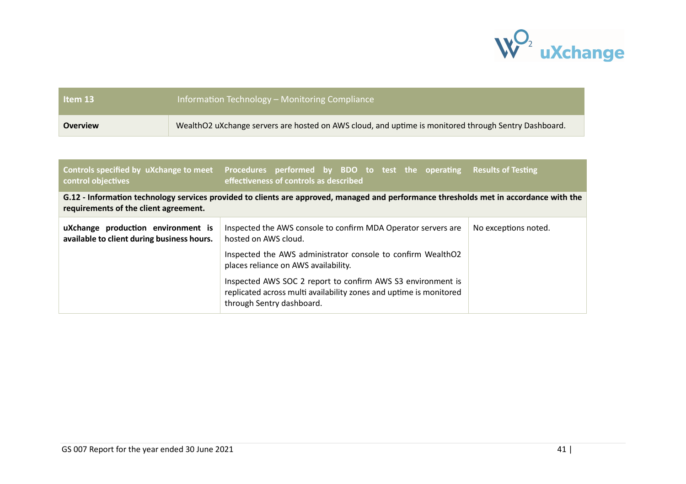

| Item 13         | <b>Information Technology - Monitoring Compliance</b>                                                |
|-----------------|------------------------------------------------------------------------------------------------------|
| <b>Overview</b> | WealthO2 uXchange servers are hosted on AWS cloud, and uptime is monitored through Sentry Dashboard. |

| control objectives                                                                                                                                                              | Controls specified by uXchange to meet Procedures performed by BDO to test the operating Results of Testing<br>effectiveness of controls as described                                                  |                      |  |  |
|---------------------------------------------------------------------------------------------------------------------------------------------------------------------------------|--------------------------------------------------------------------------------------------------------------------------------------------------------------------------------------------------------|----------------------|--|--|
| G.12 - Information technology services provided to clients are approved, managed and performance thresholds met in accordance with the<br>requirements of the client agreement. |                                                                                                                                                                                                        |                      |  |  |
| uXchange production environment is<br>available to client during business hours.                                                                                                | Inspected the AWS console to confirm MDA Operator servers are<br>hosted on AWS cloud.<br>Inspected the AWS administrator console to confirm WealthO2                                                   | No exceptions noted. |  |  |
|                                                                                                                                                                                 | places reliance on AWS availability.<br>Inspected AWS SOC 2 report to confirm AWS S3 environment is<br>replicated across multi availability zones and uptime is monitored<br>through Sentry dashboard. |                      |  |  |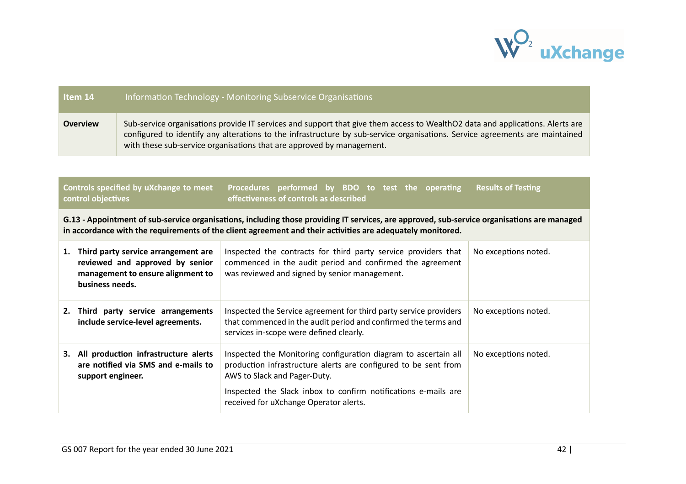

| Item 14         | Information Technology - Monitoring Subservice Organisations                                                                                                                                                                                                                                                                           |
|-----------------|----------------------------------------------------------------------------------------------------------------------------------------------------------------------------------------------------------------------------------------------------------------------------------------------------------------------------------------|
| <b>Overview</b> | Sub-service organisations provide IT services and support that give them access to WealthO2 data and applications. Alerts are<br>configured to identify any alterations to the infrastructure by sub-service organisations. Service agreements are maintained<br>with these sub-service organisations that are approved by management. |

#### **Controls specified by uXchange to meet control objectives** Procedures performed by BDO to test the operating **effectiveness of controls as described Results of Testing**

G.13 - Appointment of sub-service organisations, including those providing IT services, are approved, sub-service organisations are managed in accordance with the requirements of the client agreement and their activities are adequately monitored.

| 1. | Third party service arrangement are<br>reviewed and approved by senior<br>management to ensure alignment to<br>business needs. | Inspected the contracts for third party service providers that<br>commenced in the audit period and confirmed the agreement<br>was reviewed and signed by senior management.                                                                                                   | No exceptions noted. |
|----|--------------------------------------------------------------------------------------------------------------------------------|--------------------------------------------------------------------------------------------------------------------------------------------------------------------------------------------------------------------------------------------------------------------------------|----------------------|
| 2. | Third party service arrangements<br>include service-level agreements.                                                          | Inspected the Service agreement for third party service providers<br>that commenced in the audit period and confirmed the terms and<br>services in-scope were defined clearly.                                                                                                 | No exceptions noted. |
| З. | All production infrastructure alerts<br>are notified via SMS and e-mails to<br>support engineer.                               | Inspected the Monitoring configuration diagram to ascertain all<br>production infrastructure alerts are configured to be sent from<br>AWS to Slack and Pager-Duty.<br>Inspected the Slack inbox to confirm notifications e-mails are<br>received for uXchange Operator alerts. | No exceptions noted. |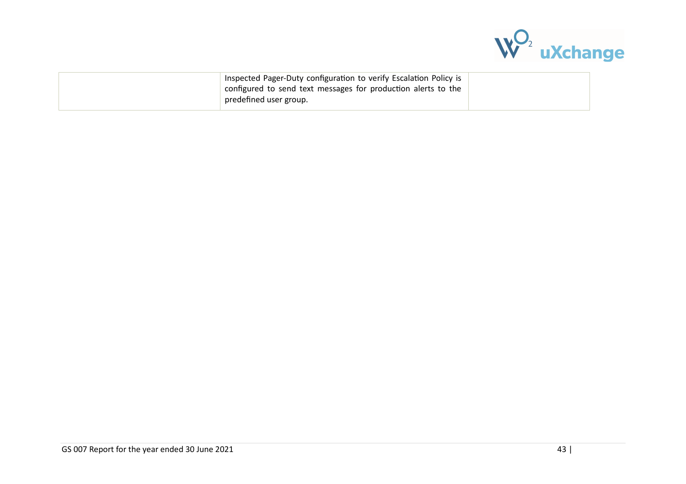

| Inspected Pager-Duty configuration to verify Escalation Policy is<br>configured to send text messages for production alerts to the |  |
|------------------------------------------------------------------------------------------------------------------------------------|--|
| predefined user group.                                                                                                             |  |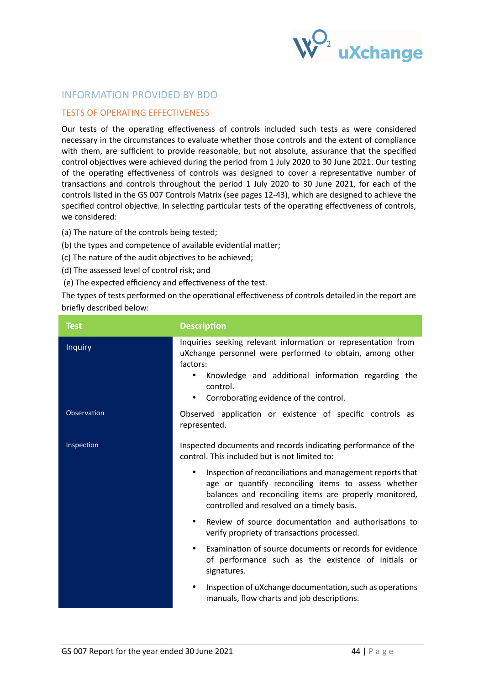

# INFORMATION PROVIDED BY BDO

## TESTS OF OPERATING EFFECTIVENESS

Our tests of the operating effectiveness of controls included such tests as were considered necessary in the circumstances to evaluate whether those controls and the extent of compliance with them, are sufficient to provide reasonable, but not absolute, assurance that the specified control objectives were achieved during the period from 1 July 2020 to 30 June 2021. Our testing of the operating effectiveness of controls was designed to cover a representative number of transactions and controls throughout the period 1 July 2020 to 30 June 2021, for each of the controls listed in the GS 007 Controls Matrix (see pages 12-43), which are designed to achieve the specified control objective. In selecting particular tests of the operating effectiveness of controls, we considered:

- (a) The nature of the controls being tested;
- (b) the types and competence of available evidential matter;
- (c) The nature of the audit objectives to be achieved;
- (d) The assessed level of control risk; and
- (e) The expected efficiency and effectiveness of the test.

The types of tests performed on the operational effectiveness of controls detailed in the report are briefly described below:

| <b>Test</b>    | <b>Description</b>                                                                                                                                                                                                                                                          |
|----------------|-----------------------------------------------------------------------------------------------------------------------------------------------------------------------------------------------------------------------------------------------------------------------------|
| <b>Inquiry</b> | Inquiries seeking relevant information or representation from<br>uXchange personnel were performed to obtain, among other<br>factors:<br>Knowledge and additional information regarding the<br>$\bullet$<br>control.<br>Corroborating evidence of the control.<br>$\bullet$ |
| Observation    | Observed application or existence of specific controls as<br>represented.                                                                                                                                                                                                   |
| Inspection     | Inspected documents and records indicating performance of the<br>control. This included but is not limited to:                                                                                                                                                              |
|                | Inspection of reconciliations and management reports that<br>$\bullet$<br>age or quantify reconciling items to assess whether<br>balances and reconciling items are properly monitored,<br>controlled and resolved on a timely basis.                                       |
|                | Review of source documentation and authorisations to<br>$\bullet$<br>verify propriety of transactions processed.                                                                                                                                                            |
|                | Examination of source documents or records for evidence<br>$\bullet$<br>of performance such as the existence of initials or<br>signatures.                                                                                                                                  |
|                | Inspection of uXchange documentation, such as operations<br>$\bullet$<br>manuals, flow charts and job descriptions.                                                                                                                                                         |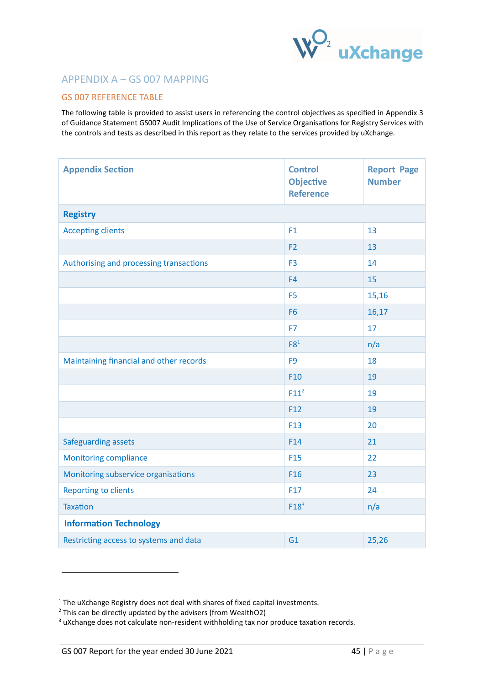

# APPENDIX A – GS 007 MAPPING

## GS 007 REFERENCE TABLE

The following table is provided to assist users in referencing the control objectives as specified in Appendix 3 of Guidance Statement GS007 Audit Implications of the Use of Service Organisations for Registry Services with the controls and tests as described in this report as they relate to the services provided by uXchange.

| <b>Appendix Section</b>                 | <b>Control</b><br><b>Objective</b><br><b>Reference</b> | <b>Report Page</b><br><b>Number</b> |
|-----------------------------------------|--------------------------------------------------------|-------------------------------------|
| <b>Registry</b>                         |                                                        |                                     |
| <b>Accepting clients</b>                | F1                                                     | 13                                  |
|                                         | F <sub>2</sub>                                         | 13                                  |
| Authorising and processing transactions | F <sub>3</sub>                                         | 14                                  |
|                                         | F <sub>4</sub>                                         | 15                                  |
|                                         | F <sub>5</sub>                                         | 15,16                               |
|                                         | F <sub>6</sub>                                         | 16,17                               |
|                                         | F7                                                     | 17                                  |
|                                         | F8 <sup>1</sup>                                        | n/a                                 |
| Maintaining financial and other records | F <sub>9</sub>                                         | 18                                  |
|                                         | F <sub>10</sub>                                        | 19                                  |
|                                         | F11 <sup>2</sup>                                       | 19                                  |
|                                         | F12                                                    | 19                                  |
|                                         | F <sub>13</sub>                                        | 20                                  |
| Safeguarding assets                     | F14                                                    | 21                                  |
| <b>Monitoring compliance</b>            | F <sub>15</sub>                                        | 22                                  |
| Monitoring subservice organisations     | F <sub>16</sub>                                        | 23                                  |
| <b>Reporting to clients</b>             | F17                                                    | 24                                  |
| <b>Taxation</b>                         | F18 <sup>3</sup>                                       | n/a                                 |
| <b>Information Technology</b>           |                                                        |                                     |
| Restricting access to systems and data  | G1                                                     | 25,26                               |

-

 $1$  The uXchange Registry does not deal with shares of fixed capital investments.

 $2$  This can be directly updated by the advisers (from WealthO2)

<sup>&</sup>lt;sup>3</sup> uXchange does not calculate non-resident withholding tax nor produce taxation records.